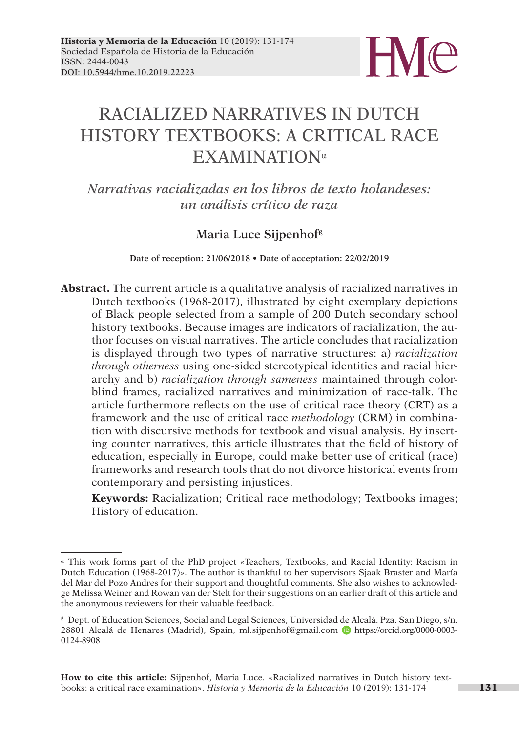

# RACIALIZED NARRATIVES IN DUTCH HISTORY TEXTBOOKS: A CRITICAL RACE EXAMINATION<sup>α</sup>

*Narrativas racializadas en los libros de texto holandeses: un análisis crítico de raza*

### **Maria Luce Sijpenhofß**

**Date of reception: 21/06/2018 • Date of acceptation: 22/02/2019**

**Abstract.** The current article is a qualitative analysis of racialized narratives in Dutch textbooks (1968-2017), illustrated by eight exemplary depictions of Black people selected from a sample of 200 Dutch secondary school history textbooks. Because images are indicators of racialization, the author focuses on visual narratives. The article concludes that racialization is displayed through two types of narrative structures: a) *racialization through otherness* using one-sided stereotypical identities and racial hierarchy and b) *racialization through sameness* maintained through colorblind frames, racialized narratives and minimization of race-talk. The article furthermore reflects on the use of critical race theory (CRT) as a framework and the use of critical race *methodology* (CRM) in combination with discursive methods for textbook and visual analysis. By inserting counter narratives, this article illustrates that the field of history of education, especially in Europe, could make better use of critical (race) frameworks and research tools that do not divorce historical events from contemporary and persisting injustices.

**Keywords:** Racialization; Critical race methodology; Textbooks images; History of education.

<sup>α</sup> This work forms part of the PhD project «Teachers, Textbooks, and Racial Identity: Racism in Dutch Education (1968-2017)». The author is thankful to her supervisors Sjaak Braster and María del Mar del Pozo Andres for their support and thoughtful comments. She also wishes to acknowledge Melissa Weiner and Rowan van der Stelt for their suggestions on an earlier draft of this article and the anonymous reviewers for their valuable feedback.

<sup>ß</sup> Dept. of Education Sciences, Social and Legal Sciences, Universidad de Alcalá. Pza. San Diego, s/n. 28801 Alcalá de Henares (Madrid), Spain, [ml.sijpenhof@gmail.com](mailto:ml.sijpenhof@gmail.com) <https://orcid.org/0000>-0003- 0124-8908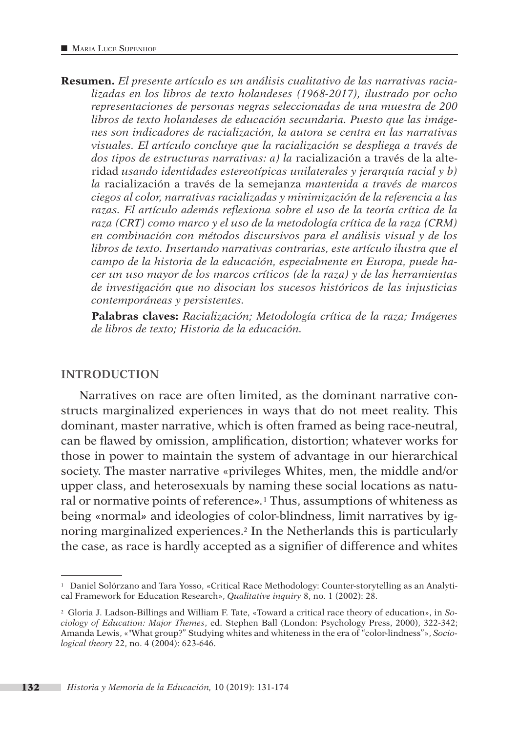**Resumen.** *El presente artículo es un análisis cualitativo de las narrativas racializadas en los libros de texto holandeses (1968-2017), ilustrado por ocho representaciones de personas negras seleccionadas de una muestra de 200 libros de texto holandeses de educación secundaria. Puesto que las imágenes son indicadores de racialización, la autora se centra en las narrativas visuales. El artículo concluye que la racialización se despliega a través de dos tipos de estructuras narrativas: a) la* racialización a través de la alteridad *usando identidades estereotípicas unilaterales y jerarquía racial y b) la* racialización a través de la semejanza *mantenida a través de marcos ciegos al color, narrativas racializadas y minimización de la referencia a las razas. El artículo además reflexiona sobre el uso de la teoría crítica de la raza (CRT) como marco y el uso de la metodología crítica de la raza (CRM) en combinación con métodos discursivos para el análisis visual y de los libros de texto. Insertando narrativas contrarias, este artículo ilustra que el campo de la historia de la educación, especialmente en Europa, puede hacer un uso mayor de los marcos críticos (de la raza) y de las herramientas de investigación que no disocian los sucesos históricos de las injusticias contemporáneas y persistentes.* 

**Palabras claves:** *Racialización; Metodología crítica de la raza; Imágenes de libros de texto; Historia de la educación.*

#### **INTRODUCTION**

Narratives on race are often limited, as the dominant narrative constructs marginalized experiences in ways that do not meet reality. This dominant, master narrative, which is often framed as being race-neutral, can be flawed by omission, amplification, distortion; whatever works for those in power to maintain the system of advantage in our hierarchical society. The master narrative «privileges Whites, men, the middle and/or upper class, and heterosexuals by naming these social locations as natural or normative points of reference*».*1 Thus, assumptions of whiteness as being «normal*»* and ideologies of color-blindness, limit narratives by ignoring marginalized experiences.2 In the Netherlands this is particularly the case, as race is hardly accepted as a signifier of difference and whites

<sup>1</sup> Daniel Solórzano and Tara Yosso, «Critical Race Methodology: Counter-storytelling as an Analytical Framework for Education Research», *Qualitative inquiry* 8, no. 1 (2002): 28.

<sup>2</sup> Gloria J. Ladson-Billings and William F. Tate, «Toward a critical race theory of education», in *Sociology of Education: Major Themes*, ed. Stephen Ball (London: Psychology Press, 2000), 322-342; Amanda Lewis, «"What group?" Studying whites and whiteness in the era of "color-lindness"», *Sociological theory* 22, no. 4 (2004): 623-646.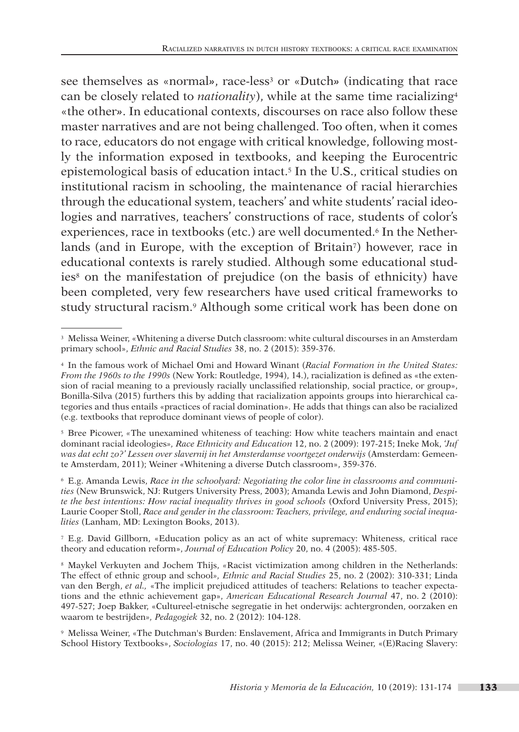see themselves as «normal», race-less<sup>3</sup> or «Dutch» (indicating that race can be closely related to *nationality*), while at the same time racializing4 «the other*»*. In educational contexts, discourses on race also follow these master narratives and are not being challenged. Too often, when it comes to race, educators do not engage with critical knowledge, following mostly the information exposed in textbooks, and keeping the Eurocentric epistemological basis of education intact.5 In the U.S., critical studies on institutional racism in schooling, the maintenance of racial hierarchies through the educational system, teachers' and white students' racial ideologies and narratives, teachers' constructions of race, students of color's experiences, race in textbooks (etc.) are well documented.<sup>6</sup> In the Netherlands (and in Europe, with the exception of Britain7) however, race in educational contexts is rarely studied. Although some educational studies8 on the manifestation of prejudice (on the basis of ethnicity) have been completed, very few researchers have used critical frameworks to study structural racism.<sup>9</sup> Although some critical work has been done on

<sup>7</sup> E.g. David Gillborn, «Education policy as an act of white supremacy: Whiteness, critical race theory and education reform», *Journal of Education Policy* 20, no. 4 (2005): 485-505.

<sup>8</sup> Maykel Verkuyten and Jochem Thijs, *«*Racist victimization among children in the Netherlands: The effect of ethnic group and school*», Ethnic and Racial Studies* 25, no. 2 (2002): 310-331; Linda van den Bergh, *et al.,* «The implicit prejudiced attitudes of teachers: Relations to teacher expectations and the ethnic achievement gap», *American Educational Research Journal* 47, no. 2 (2010): 497-527; Joep Bakker, «Cultureel-etnische segregatie in het onderwijs: achtergronden, oorzaken en waarom te bestrijden*», Pedagogiek* 32, no. 2 (2012): 104-128.

<sup>9</sup> Melissa Weiner, «The Dutchman's Burden: Enslavement, Africa and Immigrants in Dutch Primary School History Textbooks», *Sociologias* 17, no. 40 (2015): 212; Melissa Weiner, «(E)Racing Slavery:

<sup>3</sup> Melissa Weiner, «Whitening a diverse Dutch classroom: white cultural discourses in an Amsterdam primary school», *Ethnic and Racial Studies* 38, no. 2 (2015): 359-376.

<sup>4</sup> In the famous work of Michael Omi and Howard Winant (*Racial Formation in the United States: From the 1960s to the 1990s* (New York: Routledge, 1994), 14.), racialization is defined as «the extension of racial meaning to a previously racially unclassified relationship, social practice, or group», Bonilla-Silva (2015) furthers this by adding that racialization appoints groups into hierarchical categories and thus entails «practices of racial domination». He adds that things can also be racialized (e.g. textbooks that reproduce dominant views of people of color).

<sup>5</sup> Bree Picower, *«*The unexamined whiteness of teaching: How white teachers maintain and enact dominant racial ideologies*», Race Ethnicity and Education* 12, no. 2 (2009): 197-215; Ineke Mok, *'Juf was dat echt zo?' Lessen over slavernij in het Amsterdamse voortgezet onderwijs* (Amsterdam: Gemeente Amsterdam, 2011); Weiner «Whitening a diverse Dutch classroom», 359-376.

<sup>6</sup> E.g. Amanda Lewis, *Race in the schoolyard: Negotiating the color line in classrooms and communities* (New Brunswick, NJ: Rutgers University Press, 2003); Amanda Lewis and John Diamond, *Despite the best intentions: How racial inequality thrives in good schools* (Oxford University Press, 2015); Laurie Cooper Stoll, *Race and gender in the classroom: Teachers, privilege, and enduring social inequalities* (Lanham, MD: Lexington Books, 2013).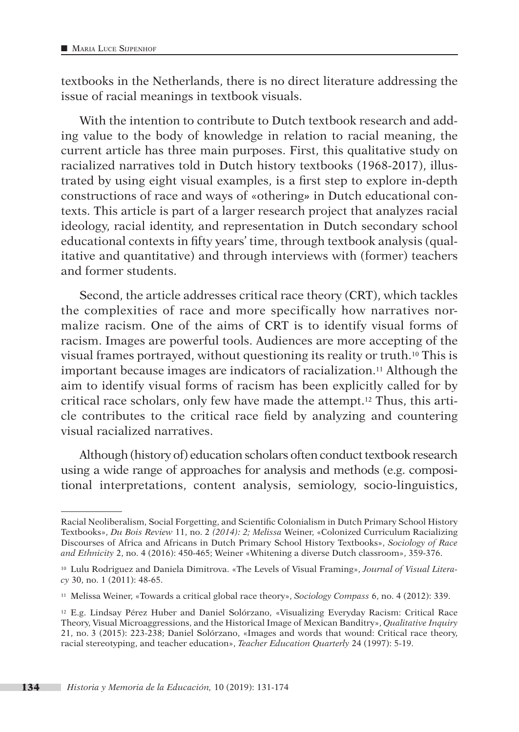textbooks in the Netherlands, there is no direct literature addressing the issue of racial meanings in textbook visuals.

With the intention to contribute to Dutch textbook research and adding value to the body of knowledge in relation to racial meaning, the current article has three main purposes. First, this qualitative study on racialized narratives told in Dutch history textbooks (1968-2017), illustrated by using eight visual examples, is a first step to explore in-depth constructions of race and ways of «othering*»* in Dutch educational contexts. This article is part of a larger research project that analyzes racial ideology, racial identity, and representation in Dutch secondary school educational contexts in fifty years' time, through textbook analysis (qualitative and quantitative) and through interviews with (former) teachers and former students.

Second, the article addresses critical race theory (CRT), which tackles the complexities of race and more specifically how narratives normalize racism. One of the aims of CRT is to identify visual forms of racism. Images are powerful tools. Audiences are more accepting of the visual frames portrayed, without questioning its reality or truth.10 This is important because images are indicators of racialization.11 Although the aim to identify visual forms of racism has been explicitly called for by critical race scholars, only few have made the attempt.12 Thus, this article contributes to the critical race field by analyzing and countering visual racialized narratives.

Although (history of) education scholars often conduct textbook research using a wide range of approaches for analysis and methods (e.g. compositional interpretations, content analysis, semiology, socio-linguistics,

Racial Neoliberalism, Social Forgetting, and Scientific Colonialism in Dutch Primary School History Textbooks», *Du Bois Review* 11, no. 2 *(2014): 2; Melissa* Weiner, «Colonized Curriculum Racializing Discourses of Africa and Africans in Dutch Primary School History Textbooks», *Sociology of Race and Ethnicity* 2, no. 4 (2016): 450-465; Weiner «Whitening a diverse Dutch classroom», 359-376.

<sup>10</sup> Lulu Rodriguez and Daniela Dimitrova. «The Levels of Visual Framing», *Journal of Visual Literacy* 30, no. 1 (2011): 48-65.

<sup>11</sup> Melissa Weiner, «Towards a critical global race theory», *Sociology Compass* 6, no. 4 (2012): 339.

<sup>12</sup> E.g. Lindsay Pérez Huber and Daniel Solórzano, «Visualizing Everyday Racism: Critical Race Theory, Visual Microaggressions, and the Historical Image of Mexican Banditry», *Qualitative Inquiry*  21, no. 3 (2015): 223-238; Daniel Solórzano, «Images and words that wound: Critical race theory, racial stereotyping, and teacher education», *Teacher Education Quarterly* 24 (1997): 5-19.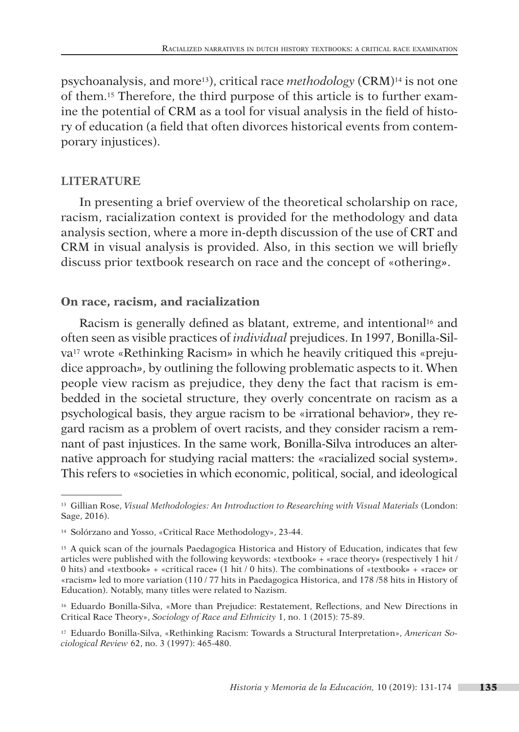psychoanalysis, and more13), critical race *methodology* (CRM)14 is not one of them.15 Therefore, the third purpose of this article is to further examine the potential of CRM as a tool for visual analysis in the field of history of education (a field that often divorces historical events from contemporary injustices).

### **LITERATURE**

In presenting a brief overview of the theoretical scholarship on race, racism, racialization context is provided for the methodology and data analysis section, where a more in-depth discussion of the use of CRT and CRM in visual analysis is provided. Also, in this section we will briefly discuss prior textbook research on race and the concept of «othering*»*.

### **On race, racism, and racialization**

Racism is generally defined as blatant, extreme, and intentional<sup>16</sup> and often seen as visible practices of *individual* prejudices. In 1997, Bonilla-Silva17 wrote «Rethinking Racism*»* in which he heavily critiqued this «prejudice approach*»*, by outlining the following problematic aspects to it. When people view racism as prejudice, they deny the fact that racism is embedded in the societal structure, they overly concentrate on racism as a psychological basis, they argue racism to be «irrational behavior*»*, they regard racism as a problem of overt racists, and they consider racism a remnant of past injustices. In the same work, Bonilla-Silva introduces an alternative approach for studying racial matters: the «racialized social system*»*. This refers to «societies in which economic, political, social, and ideological

<sup>13</sup> Gillian Rose, *Visual Methodologies: An Introduction to Researching with Visual Materials* (London: Sage, 2016).

<sup>14</sup> Solórzano and Yosso, «Critical Race Methodology», 23-44.

<sup>15</sup> A quick scan of the journals Paedagogica Historica and History of Education, indicates that few articles were published with the following keywords: «textbook*»* + «race theory*»* (respectively 1 hit / 0 hits) and «textbook*»* + «critical race*»* (1 hit / 0 hits). The combinations of «textbook*»* + «race*»* or «racism*»* led to more variation (110 / 77 hits in Paedagogica Historica, and 178 /58 hits in History of Education). Notably, many titles were related to Nazism.

<sup>16</sup> Eduardo Bonilla-Silva, «More than Prejudice: Restatement, Reflections, and New Directions in Critical Race Theory», *Sociology of Race and Ethnicity* 1, no. 1 (2015): 75-89.

<sup>17</sup> Eduardo Bonilla-Silva, «Rethinking Racism: Towards a Structural Interpretation», *American Sociological Review* 62, no. 3 (1997): 465-480.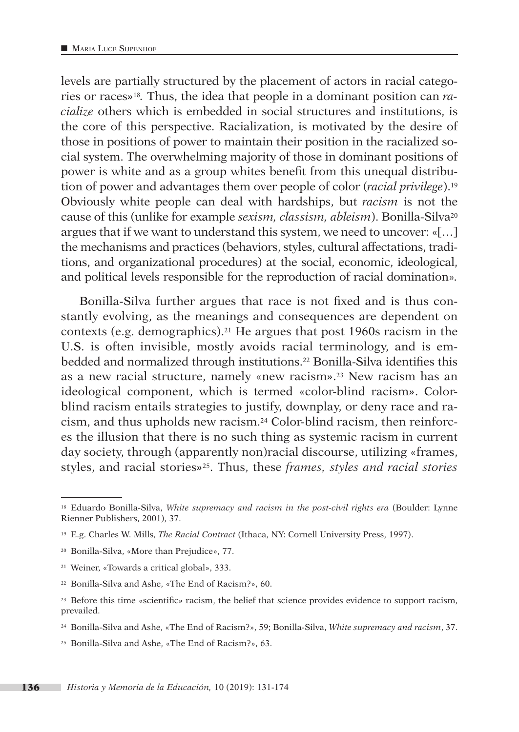levels are partially structured by the placement of actors in racial categories or races*»*18*.* Thus, the idea that people in a dominant position can *racialize* others which is embedded in social structures and institutions, is the core of this perspective. Racialization, is motivated by the desire of those in positions of power to maintain their position in the racialized social system. The overwhelming majority of those in dominant positions of power is white and as a group whites benefit from this unequal distribution of power and advantages them over people of color (*racial privilege*).19 Obviously white people can deal with hardships, but *racism* is not the cause of this (unlike for example *sexism, classism, ableism*). Bonilla-Silva20 argues that if we want to understand this system, we need to uncover: «[…] the mechanisms and practices (behaviors, styles, cultural affectations, traditions, and organizational procedures) at the social, economic, ideological, and political levels responsible for the reproduction of racial domination»*.*

Bonilla-Silva further argues that race is not fixed and is thus constantly evolving, as the meanings and consequences are dependent on contexts (e.g. demographics).21 He argues that post 1960s racism in the U.S. is often invisible, mostly avoids racial terminology, and is embedded and normalized through institutions.22 Bonilla-Silva identifies this as a new racial structure, namely «new racism*»*.23 New racism has an ideological component, which is termed «color-blind racism*»*. Colorblind racism entails strategies to justify, downplay, or deny race and racism, and thus upholds new racism.24 Color-blind racism, then reinforces the illusion that there is no such thing as systemic racism in current day society, through (apparently non)racial discourse, utilizing «frames, styles, and racial stories*»*25. Thus, these *frames, styles and racial stories*

<sup>18</sup> Eduardo Bonilla-Silva, *White supremacy and racism in the post-civil rights era* (Boulder: Lynne Rienner Publishers, 2001), 37.

<sup>19</sup> E.g. Charles W. Mills, *The Racial Contract* (Ithaca, NY: Cornell University Press, 1997).

<sup>20</sup> Bonilla-Silva, «More than Prejudice», 77.

<sup>21</sup> Weiner, «Towards a critical global», 333.

<sup>22</sup> Bonilla-Silva and Ashe, «The End of Racism?», 60.

<sup>23</sup> Before this time «scientific*»* racism, the belief that science provides evidence to support racism, prevailed.

<sup>24</sup> Bonilla-Silva and Ashe, «The End of Racism?», 59; Bonilla-Silva, *White supremacy and racism*, 37.

<sup>25</sup> Bonilla-Silva and Ashe, «The End of Racism?», 63.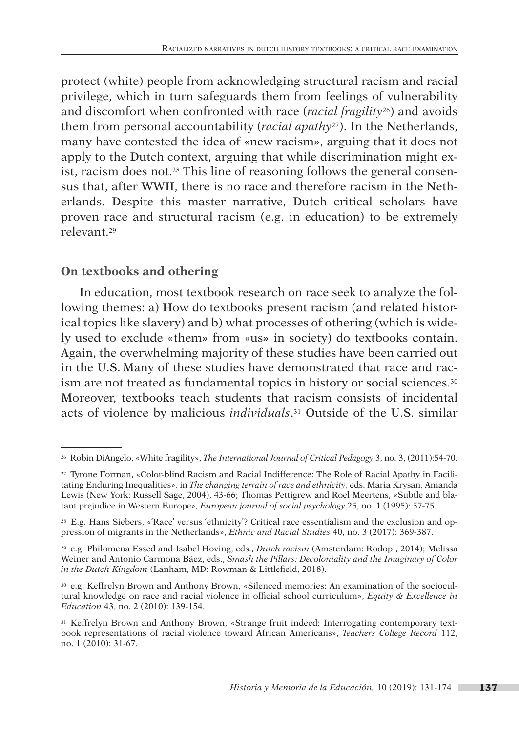protect (white) people from acknowledging structural racism and racial privilege, which in turn safeguards them from feelings of vulnerability and discomfort when confronted with race (*racial fragility*26) and avoids them from personal accountability (*racial apathy*27). In the Netherlands, many have contested the idea of «new racism*»*, arguing that it does not apply to the Dutch context, arguing that while discrimination might exist, racism does not.28 This line of reasoning follows the general consensus that, after WWII, there is no race and therefore racism in the Netherlands. Despite this master narrative, Dutch critical scholars have proven race and structural racism (e.g. in education) to be extremely relevant.29

### **On textbooks and othering**

In education, most textbook research on race seek to analyze the following themes: a) How do textbooks present racism (and related historical topics like slavery) and b) what processes of othering (which is widely used to exclude «them*»* from «us*»* in society) do textbooks contain. Again, the overwhelming majority of these studies have been carried out in the U.S. Many of these studies have demonstrated that race and racism are not treated as fundamental topics in history or social sciences.30 Moreover, textbooks teach students that racism consists of incidental acts of violence by malicious *individuals*.31 Outside of the U.S. similar

<sup>26</sup> Robin DiAngelo, «White fragility», *The International Journal of Critical Pedagogy* 3, no. 3, (2011):54-70.

<sup>27</sup> Tyrone Forman, «Color-blind Racism and Racial Indifference: The Role of Racial Apathy in Facilitating Enduring Inequalities», in *The changing terrain of race and ethnicity*, eds. Maria Krysan, Amanda Lewis (New York: Russell Sage, 2004), 43-66; Thomas Pettigrew and Roel Meertens, «Subtle and blatant prejudice in Western Europe», *European journal of social psychology* 25, no. 1 (1995): 57-75.

<sup>28</sup> E.g. Hans Siebers, «'Race' versus 'ethnicity'? Critical race essentialism and the exclusion and oppression of migrants in the Netherlands», *Ethnic and Racial Studies* 40, no. 3 (2017): 369-387.

<sup>29</sup> e.g. Philomena Essed and Isabel Hoving, eds., *Dutch racism* (Amsterdam: Rodopi, 2014); Melissa Weiner and Antonio Carmona Báez, eds., *Smash the Pillars: Decoloniality and the Imaginary of Color in the Dutch Kingdom* (Lanham, MD: Rowman & Littlefield, 2018).

<sup>30</sup> e.g. Keffrelyn Brown and Anthony Brown, «Silenced memories: An examination of the sociocultural knowledge on race and racial violence in official school curriculum», *Equity & Excellence in Education* 43, no. 2 (2010): 139-154.

<sup>31</sup> Keffrelyn Brown and Anthony Brown, «Strange fruit indeed: Interrogating contemporary textbook representations of racial violence toward African Americans», *Teachers College Record* 112, no. 1 (2010): 31-67.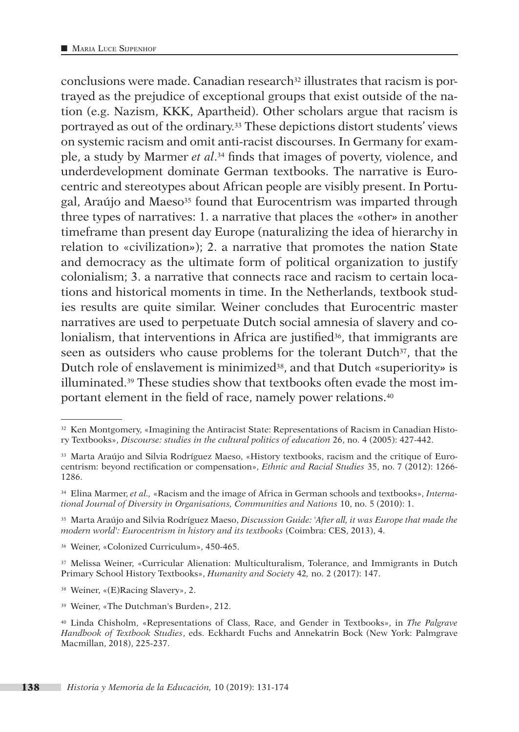conclusions were made. Canadian research<sup>32</sup> illustrates that racism is portrayed as the prejudice of exceptional groups that exist outside of the nation (e.g. Nazism, KKK, Apartheid). Other scholars argue that racism is portrayed as out of the ordinary.33 These depictions distort students' views on systemic racism and omit anti-racist discourses. In Germany for example, a study by Marmer *et al*.34 finds that images of poverty, violence, and underdevelopment dominate German textbooks. The narrative is Eurocentric and stereotypes about African people are visibly present. In Portugal, Araújo and Maeso35 found that Eurocentrism was imparted through three types of narratives: 1. a narrative that places the «other*»* in another timeframe than present day Europe (naturalizing the idea of hierarchy in relation to «civilization*»*); 2. a narrative that promotes the nation State and democracy as the ultimate form of political organization to justify colonialism; 3. a narrative that connects race and racism to certain locations and historical moments in time. In the Netherlands, textbook studies results are quite similar. Weiner concludes that Eurocentric master narratives are used to perpetuate Dutch social amnesia of slavery and colonialism, that interventions in Africa are justified<sup>36</sup>, that immigrants are seen as outsiders who cause problems for the tolerant Dutch<sup>37</sup>, that the Dutch role of enslavement is minimized38, and that Dutch «superiority*»* is illuminated.39 These studies show that textbooks often evade the most important element in the field of race, namely power relations.40

<sup>36</sup> Weiner, «Colonized Curriculum», 450-465.

<sup>37</sup> Melissa Weiner, «Curricular Alienation: Multiculturalism, Tolerance, and Immigrants in Dutch Primary School History Textbooks», *Humanity and Society* 42*,* no. 2 (2017): 147.

<sup>38</sup> Weiner, «(E)Racing Slavery», 2.

<sup>39</sup> Weiner, «The Dutchman's Burden», 212.

<sup>32</sup> Ken Montgomery, «Imagining the Antiracist State: Representations of Racism in Canadian History Textbooks», *Discourse: studies in the cultural politics of education* 26, no. 4 (2005): 427-442.

<sup>33</sup> Marta Araújo and Silvia Rodríguez Maeso, «History textbooks, racism and the critique of Eurocentrism: beyond rectification or compensation», *Ethnic and Racial Studies* 35, no. 7 (2012): 1266- 1286.

<sup>34</sup> Elina Marmer, *et al.,* «Racism and the image of Africa in German schools and textbooks», *International Journal of Diversity in Organisations, Communities and Nations* 10, no. 5 (2010): 1.

<sup>35</sup> Marta Araújo and Silvia Rodríguez Maeso, *Discussion Guide: 'After all, it was Europe that made the modern world': Eurocentrism in history and its textbooks* (Coimbra: CES, 2013), 4.

<sup>40</sup> Linda Chisholm, «Representations of Class, Race, and Gender in Textbooks», in *The Palgrave Handbook of Textbook Studies*, eds. Eckhardt Fuchs and Annekatrin Bock (New York: Palmgrave Macmillan, 2018), 225-237.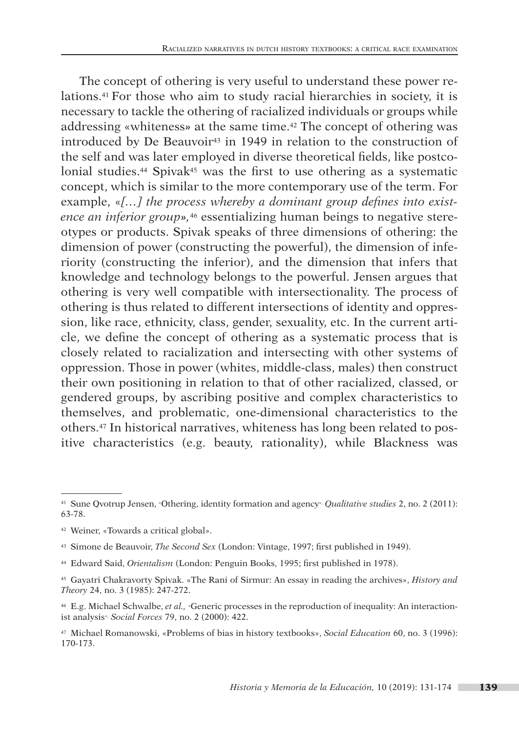The concept of othering is very useful to understand these power relations.41 For those who aim to study racial hierarchies in society, it is necessary to tackle the othering of racialized individuals or groups while addressing «whiteness*»* at the same time.42 The concept of othering was introduced by De Beauvoir<sup>43</sup> in 1949 in relation to the construction of the self and was later employed in diverse theoretical fields, like postcolonial studies.<sup>44</sup> Spivak<sup>45</sup> was the first to use othering as a systematic concept, which is similar to the more contemporary use of the term. For example, «*[…] the process whereby a dominant group defines into existence an inferior group»,*<sup>46</sup> essentializing human beings to negative stereotypes or products. Spivak speaks of three dimensions of othering: the dimension of power (constructing the powerful), the dimension of inferiority (constructing the inferior), and the dimension that infers that knowledge and technology belongs to the powerful. Jensen argues that othering is very well compatible with intersectionality. The process of othering is thus related to different intersections of identity and oppression, like race, ethnicity, class, gender, sexuality, etc. In the current article, we define the concept of othering as a systematic process that is closely related to racialization and intersecting with other systems of oppression. Those in power (whites, middle-class, males) then construct their own positioning in relation to that of other racialized, classed, or gendered groups, by ascribing positive and complex characteristics to themselves, and problematic, one-dimensional characteristics to the others.47 In historical narratives, whiteness has long been related to positive characteristics (e.g. beauty, rationality), while Blackness was

<sup>41</sup> Sune Qvotrup Jensen, «Othering, identity formation and agency», *Qualitative studies* 2, no. 2 (2011): 63-78.

<sup>42</sup> Weiner, «Towards a critical global».

<sup>43</sup> Simone de Beauvoir, *The Second Sex* (London: Vintage, 1997; first published in 1949).

<sup>44</sup> Edward Said, *Orientalism* (London: Penguin Books, 1995; first published in 1978).

<sup>45</sup> Gayatri Chakravorty Spivak. «The Rani of Sirmur: An essay in reading the archives», *History and Theory* 24, no. 3 (1985): 247-272.

<sup>46</sup> E.g. Michael Schwalbe, *et al.,* «Generic processes in the reproduction of inequality: An interactionist analysis», *Social Forces* 79, no. 2 (2000): 422.

<sup>47</sup> Michael Romanowski, «Problems of bias in history textbooks», *Social Education* 60, no. 3 (1996): 170-173.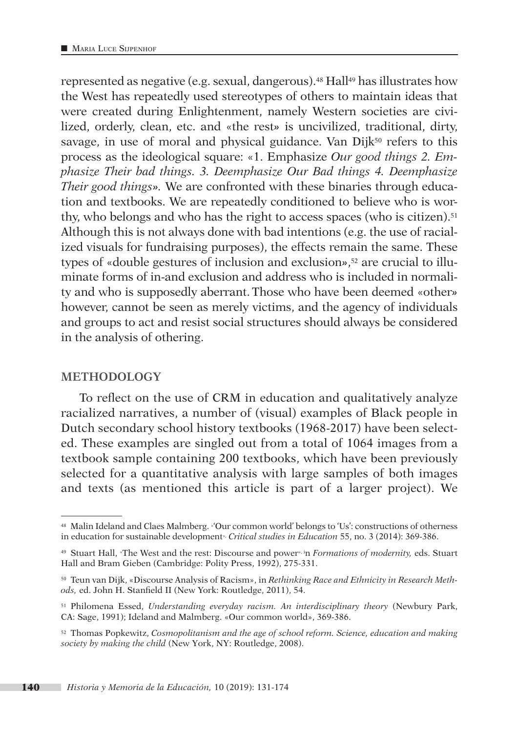represented as negative (e.g. sexual, dangerous).48 Hall49 has illustrates how the West has repeatedly used stereotypes of others to maintain ideas that were created during Enlightenment, namely Western societies are civilized, orderly, clean, etc. and «the rest*»* is uncivilized, traditional, dirty, savage, in use of moral and physical guidance. Van Dijk<sup>50</sup> refers to this process as the ideological square: «1. Emphasize *Our good things 2. Emphasize Their bad things. 3. Deemphasize Our Bad things 4. Deemphasize Their good things».* We are confronted with these binaries through education and textbooks. We are repeatedly conditioned to believe who is worthy, who belongs and who has the right to access spaces (who is citizen).<sup>51</sup> Although this is not always done with bad intentions (e.g. the use of racialized visuals for fundraising purposes), the effects remain the same. These types of «double gestures of inclusion and exclusion*»*,52 are crucial to illuminate forms of in-and exclusion and address who is included in normality and who is supposedly aberrant.Those who have been deemed «other*»* however, cannot be seen as merely victims, and the agency of individuals and groups to act and resist social structures should always be considered in the analysis of othering.

#### **METHODOLOGY**

To reflect on the use of CRM in education and qualitatively analyze racialized narratives, a number of (visual) examples of Black people in Dutch secondary school history textbooks (1968-2017) have been selected. These examples are singled out from a total of 1064 images from a textbook sample containing 200 textbooks, which have been previously selected for a quantitative analysis with large samples of both images and texts (as mentioned this article is part of a larger project). We

<sup>48</sup> Malin Ideland and Claes Malmberg. «'Our common world' belongs to 'Us': constructions of otherness in education for sustainable development», *Critical studies in Education* 55, no. 3 (2014): 369-386.

<sup>49</sup> Stuart Hall, «The West and the rest: Discourse and power», in *Formations of modernity,* eds. Stuart Hall and Bram Gieben (Cambridge: Polity Press, 1992), 275-331.

<sup>50</sup> Teun van Dijk, «Discourse Analysis of Racism», in *Rethinking Race and Ethnicity in Research Methods,* ed. John H. Stanfield II (New York: Routledge, 2011), 54.

<sup>51</sup> Philomena Essed, *Understanding everyday racism. An interdisciplinary theory* (Newbury Park, CA: Sage, 1991); Ideland and Malmberg. «Our common world», 369-386.

<sup>52</sup> Thomas Popkewitz, *Cosmopolitanism and the age of school reform. Science, education and making society by making the child* (New York, NY: Routledge, 2008).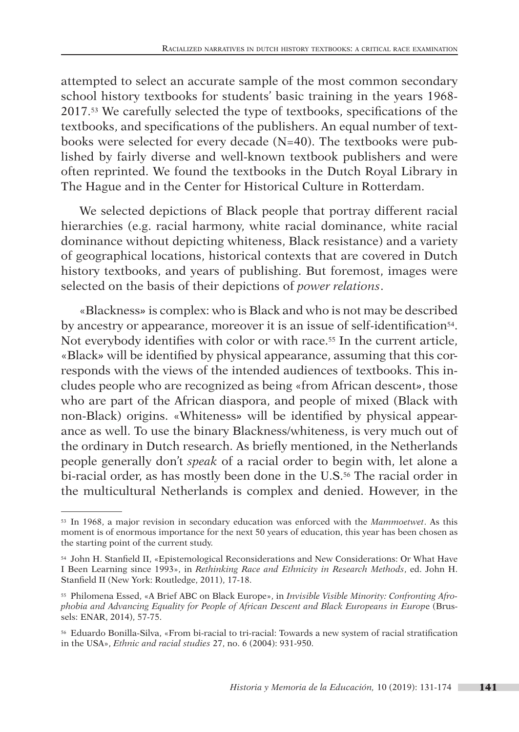attempted to select an accurate sample of the most common secondary school history textbooks for students' basic training in the years 1968- 2017.53 We carefully selected the type of textbooks, specifications of the textbooks, and specifications of the publishers. An equal number of textbooks were selected for every decade (N=40). The textbooks were published by fairly diverse and well-known textbook publishers and were often reprinted. We found the textbooks in the Dutch Royal Library in The Hague and in the Center for Historical Culture in Rotterdam.

We selected depictions of Black people that portray different racial hierarchies (e.g. racial harmony, white racial dominance, white racial dominance without depicting whiteness, Black resistance) and a variety of geographical locations, historical contexts that are covered in Dutch history textbooks, and years of publishing. But foremost, images were selected on the basis of their depictions of *power relations*.

«Blackness*»* is complex: who is Black and who is not may be described by ancestry or appearance, moreover it is an issue of self-identification<sup>54</sup>. Not everybody identifies with color or with race.<sup>55</sup> In the current article, «Black*»* will be identified by physical appearance, assuming that this corresponds with the views of the intended audiences of textbooks. This includes people who are recognized as being «from African descent*»*, those who are part of the African diaspora, and people of mixed (Black with non-Black) origins. «Whiteness*»* will be identified by physical appearance as well. To use the binary Blackness/whiteness, is very much out of the ordinary in Dutch research. As briefly mentioned, in the Netherlands people generally don't *speak* of a racial order to begin with, let alone a bi-racial order, as has mostly been done in the U.S.56 The racial order in the multicultural Netherlands is complex and denied. However, in the

<sup>53</sup> In 1968, a major revision in secondary education was enforced with the *Mammoetwet*. As this moment is of enormous importance for the next 50 years of education, this year has been chosen as the starting point of the current study.

<sup>54</sup> John H. Stanfield II, «Epistemological Reconsiderations and New Considerations: Or What Have I Been Learning since 1993», in *Rethinking Race and Ethnicity in Research Methods*, ed. John H. Stanfield II (New York: Routledge, 2011), 17-18.

<sup>55</sup> Philomena Essed, «A Brief ABC on Black Europe», in *Invisible Visible Minority: Confronting Afrophobia and Advancing Equality for People of African Descent and Black Europeans in Europ*e (Brussels: ENAR, 2014), 57-75.

<sup>56</sup> Eduardo Bonilla-Silva, «From bi-racial to tri-racial: Towards a new system of racial stratification in the USA», *Ethnic and racial studies* 27, no. 6 (2004): 931-950.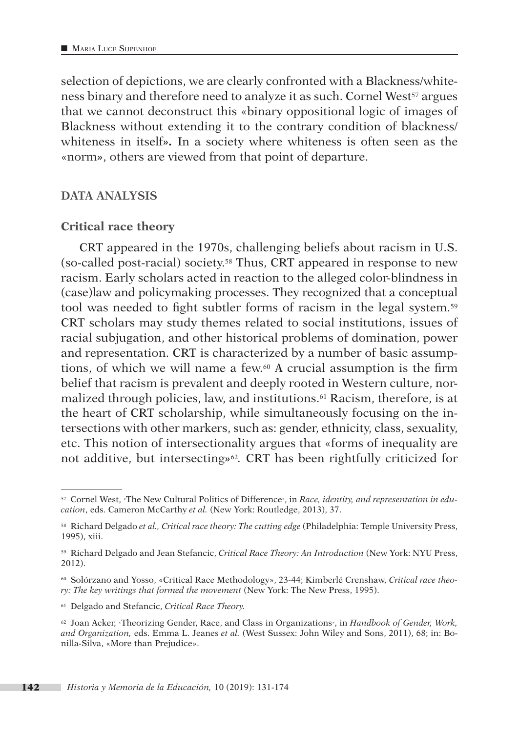selection of depictions, we are clearly confronted with a Blackness/whiteness binary and therefore need to analyze it as such. Cornel West<sup>57</sup> argues that we cannot deconstruct this «binary oppositional logic of images of Blackness without extending it to the contrary condition of blackness/ whiteness in itself*».* In a society where whiteness is often seen as the «norm*»*, others are viewed from that point of departure.

#### **DATA ANALYSIS**

#### **Critical race theory**

CRT appeared in the 1970s, challenging beliefs about racism in U.S. (so-called post-racial) society.58 Thus, CRT appeared in response to new racism. Early scholars acted in reaction to the alleged color-blindness in (case)law and policymaking processes. They recognized that a conceptual tool was needed to fight subtler forms of racism in the legal system.59 CRT scholars may study themes related to social institutions, issues of racial subjugation, and other historical problems of domination, power and representation. CRT is characterized by a number of basic assumptions, of which we will name a few.60 A crucial assumption is the firm belief that racism is prevalent and deeply rooted in Western culture, normalized through policies, law, and institutions.61 Racism, therefore, is at the heart of CRT scholarship, while simultaneously focusing on the intersections with other markers, such as: gender, ethnicity, class, sexuality, etc. This notion of intersectionality argues that «forms of inequality are not additive, but intersecting*»*62*.* CRT has been rightfully criticized for

<sup>57</sup> Cornel West, «The New Cultural Politics of Difference», in *Race, identity, and representation in education*, eds. Cameron McCarthy *et al.* (New York: Routledge, 2013), 37.

<sup>58</sup> Richard Delgado *et al., Critical race theory: The cutting edge* (Philadelphia: Temple University Press, 1995), xiii.

<sup>59</sup> Richard Delgado and Jean Stefancic, *Critical Race Theory: An Introduction* (New York: NYU Press, 2012).

<sup>60</sup> Solórzano and Yosso, «Critical Race Methodology», 23-44; Kimberlé Crenshaw, *Critical race theory: The key writings that formed the movement* (New York: The New Press, 1995).

<sup>61</sup> Delgado and Stefancic, *Critical Race Theory.*

<sup>62</sup> Joan Acker, «Theorizing Gender, Race, and Class in Organizations», in *Handbook of Gender, Work, and Organization,* eds. Emma L. Jeanes *et al.* (West Sussex: John Wiley and Sons, 2011), 68; in: Bonilla-Silva, «More than Prejudice».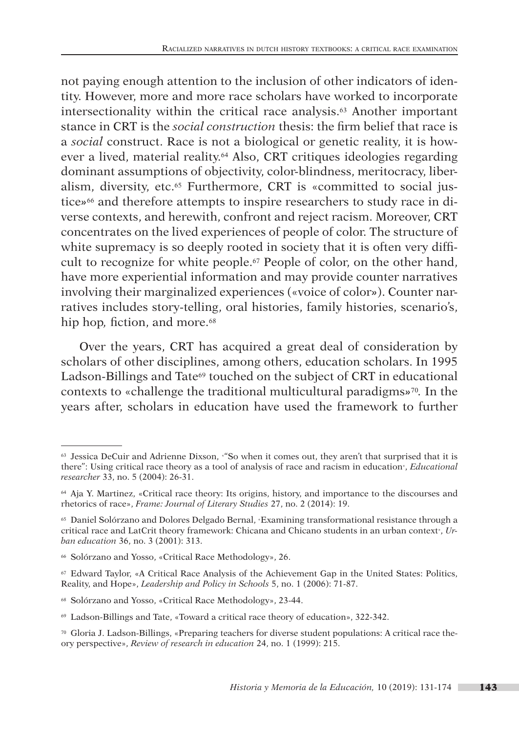not paying enough attention to the inclusion of other indicators of identity. However, more and more race scholars have worked to incorporate intersectionality within the critical race analysis.63 Another important stance in CRT is the *social construction* thesis: the firm belief that race is a *social* construct. Race is not a biological or genetic reality, it is however a lived, material reality.64 Also, CRT critiques ideologies regarding dominant assumptions of objectivity, color-blindness, meritocracy, liberalism, diversity, etc.65 Furthermore, CRT is «committed to social justice*»*<sup>66</sup> and therefore attempts to inspire researchers to study race in diverse contexts, and herewith, confront and reject racism. Moreover, CRT concentrates on the lived experiences of people of color. The structure of white supremacy is so deeply rooted in society that it is often very difficult to recognize for white people.67 People of color, on the other hand, have more experiential information and may provide counter narratives involving their marginalized experiences («voice of color*»*). Counter narratives includes story-telling, oral histories, family histories, scenario's, hip hop, fiction, and more.<sup>68</sup>

Over the years, CRT has acquired a great deal of consideration by scholars of other disciplines, among others, education scholars. In 1995 Ladson-Billings and Tate<sup>69</sup> touched on the subject of CRT in educational contexts to «challenge the traditional multicultural paradigms*»*70*.* In the years after, scholars in education have used the framework to further

<sup>&</sup>lt;sup>63</sup> Jessica DeCuir and Adrienne Dixson, «"So when it comes out, they aren't that surprised that it is there": Using critical race theory as a tool of analysis of race and racism in education», *Educational researcher* 33, no. 5 (2004): 26-31.

<sup>64</sup> Aja Y. Martinez, «Critical race theory: Its origins, history, and importance to the discourses and rhetorics of race», *Frame: Journal of Literary Studies* 27, no. 2 (2014): 19.

<sup>65</sup> Daniel Solórzano and Dolores Delgado Bernal, «Examining transformational resistance through a critical race and LatCrit theory framework: Chicana and Chicano students in an urban context», *Urban education* 36, no. 3 (2001): 313.

<sup>66</sup> Solórzano and Yosso, «Critical Race Methodology», 26.

<sup>67</sup> Edward Taylor, «A Critical Race Analysis of the Achievement Gap in the United States: Politics, Reality, and Hope», *Leadership and Policy in Schools* 5, no. 1 (2006): 71-87.

<sup>68</sup> Solórzano and Yosso, «Critical Race Methodology», 23-44.

<sup>69</sup> Ladson-Billings and Tate, «Toward a critical race theory of education», 322-342.

<sup>70</sup> Gloria J. Ladson-Billings, «Preparing teachers for diverse student populations: A critical race theory perspective», *Review of research in education* 24, no. 1 (1999): 215.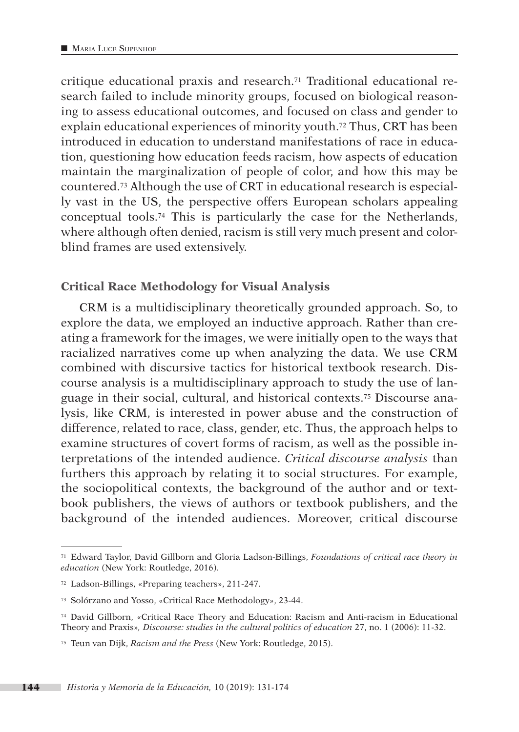critique educational praxis and research.71 Traditional educational research failed to include minority groups, focused on biological reasoning to assess educational outcomes, and focused on class and gender to explain educational experiences of minority youth.72 Thus, CRT has been introduced in education to understand manifestations of race in education, questioning how education feeds racism, how aspects of education maintain the marginalization of people of color, and how this may be countered.73 Although the use of CRT in educational research is especially vast in the US, the perspective offers European scholars appealing conceptual tools.74 This is particularly the case for the Netherlands, where although often denied, racism is still very much present and colorblind frames are used extensively.

#### **Critical Race Methodology for Visual Analysis**

CRM is a multidisciplinary theoretically grounded approach. So, to explore the data, we employed an inductive approach. Rather than creating a framework for the images, we were initially open to the ways that racialized narratives come up when analyzing the data. We use CRM combined with discursive tactics for historical textbook research. Discourse analysis is a multidisciplinary approach to study the use of language in their social, cultural, and historical contexts.75 Discourse analysis, like CRM, is interested in power abuse and the construction of difference, related to race, class, gender, etc. Thus, the approach helps to examine structures of covert forms of racism, as well as the possible interpretations of the intended audience. *Critical discourse analysis* than furthers this approach by relating it to social structures. For example, the sociopolitical contexts, the background of the author and or textbook publishers, the views of authors or textbook publishers, and the background of the intended audiences. Moreover, critical discourse

<sup>71</sup> Edward Taylor, David Gillborn and Gloria Ladson-Billings, *Foundations of critical race theory in education* (New York: Routledge, 2016).

<sup>72</sup> Ladson-Billings, «Preparing teachers», 211-247.

<sup>73</sup> Solórzano and Yosso, «Critical Race Methodology», 23-44.

<sup>74</sup> David Gillborn, «Critical Race Theory and Education: Racism and Anti-racism in Educational Theory and Praxis»*, Discourse: studies in the cultural politics of education* 27, no. 1 (2006): 11-32.

<sup>75</sup> Teun van Dijk, *Racism and the Press* (New York: Routledge, 2015).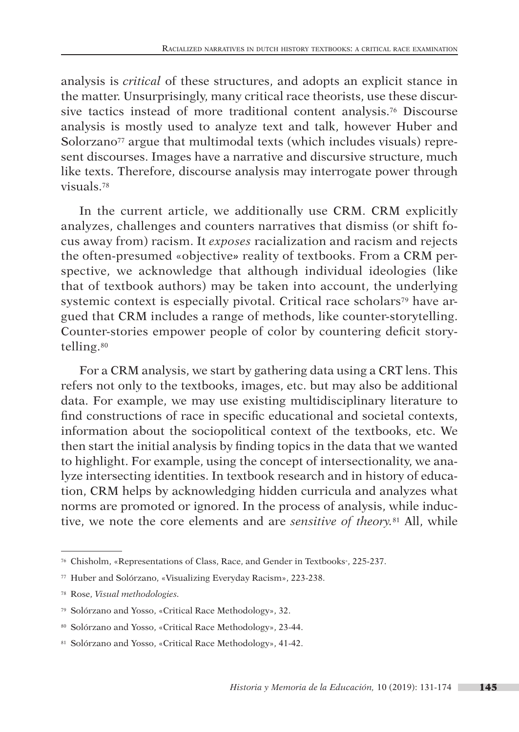analysis is *critical* of these structures, and adopts an explicit stance in the matter. Unsurprisingly, many critical race theorists, use these discursive tactics instead of more traditional content analysis.76 Discourse analysis is mostly used to analyze text and talk, however Huber and Solorzano<sup>77</sup> argue that multimodal texts (which includes visuals) represent discourses. Images have a narrative and discursive structure, much like texts. Therefore, discourse analysis may interrogate power through visuals.78

In the current article, we additionally use CRM. CRM explicitly analyzes, challenges and counters narratives that dismiss (or shift focus away from) racism. It *exposes* racialization and racism and rejects the often-presumed «objective*»* reality of textbooks. From a CRM perspective, we acknowledge that although individual ideologies (like that of textbook authors) may be taken into account, the underlying systemic context is especially pivotal. Critical race scholars<sup>79</sup> have argued that CRM includes a range of methods, like counter-storytelling. Counter-stories empower people of color by countering deficit storytelling.80

For a CRM analysis, we start by gathering data using a CRT lens. This refers not only to the textbooks, images, etc. but may also be additional data. For example, we may use existing multidisciplinary literature to find constructions of race in specific educational and societal contexts, information about the sociopolitical context of the textbooks, etc. We then start the initial analysis by finding topics in the data that we wanted to highlight. For example, using the concept of intersectionality, we analyze intersecting identities. In textbook research and in history of education, CRM helps by acknowledging hidden curricula and analyzes what norms are promoted or ignored. In the process of analysis, while inductive, we note the core elements and are *sensitive of theory.*81 All, while

<sup>76</sup> Chisholm, «Representations of Class, Race, and Gender in Textbooks», 225-237.

<sup>77</sup> Huber and Solórzano, «Visualizing Everyday Racism», 223-238.

<sup>78</sup> Rose, *Visual methodologies.*

<sup>79</sup> Solórzano and Yosso, «Critical Race Methodology», 32.

<sup>80</sup> Solórzano and Yosso, «Critical Race Methodology», 23-44.

<sup>81</sup> Solórzano and Yosso, «Critical Race Methodology», 41-42.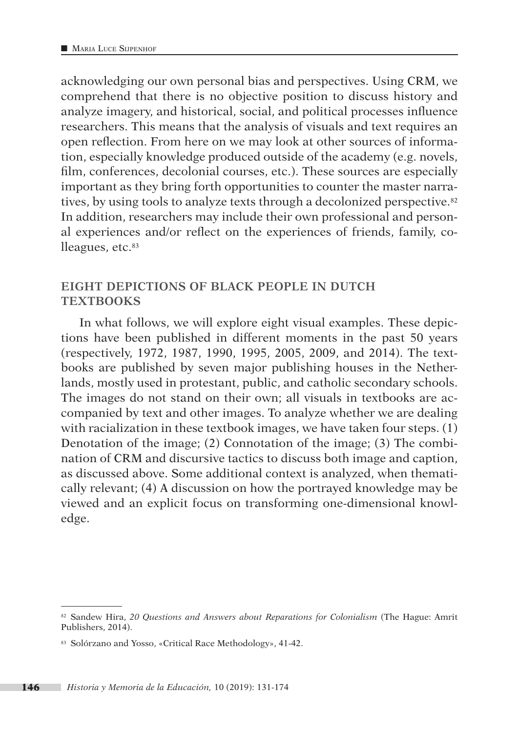acknowledging our own personal bias and perspectives. Using CRM, we comprehend that there is no objective position to discuss history and analyze imagery, and historical, social, and political processes influence researchers. This means that the analysis of visuals and text requires an open reflection. From here on we may look at other sources of information, especially knowledge produced outside of the academy (e.g. novels, film, conferences, decolonial courses, etc.). These sources are especially important as they bring forth opportunities to counter the master narratives, by using tools to analyze texts through a decolonized perspective.<sup>82</sup> In addition, researchers may include their own professional and personal experiences and/or reflect on the experiences of friends, family, colleagues, etc.<sup>83</sup>

### **EIGHT DEPICTIONS OF BLACK PEOPLE IN DUTCH TEXTBOOKS**

In what follows, we will explore eight visual examples. These depictions have been published in different moments in the past 50 years (respectively, 1972, 1987, 1990, 1995, 2005, 2009, and 2014). The textbooks are published by seven major publishing houses in the Netherlands, mostly used in protestant, public, and catholic secondary schools. The images do not stand on their own; all visuals in textbooks are accompanied by text and other images. To analyze whether we are dealing with racialization in these textbook images, we have taken four steps. (1) Denotation of the image; (2) Connotation of the image; (3) The combination of CRM and discursive tactics to discuss both image and caption, as discussed above. Some additional context is analyzed, when thematically relevant; (4) A discussion on how the portrayed knowledge may be viewed and an explicit focus on transforming one-dimensional knowledge.

<sup>82</sup> Sandew Hira, *20 Questions and Answers about Reparations for Colonialism* (The Hague: Amrit Publishers, 2014).

<sup>83</sup> Solórzano and Yosso, «Critical Race Methodology», 41-42.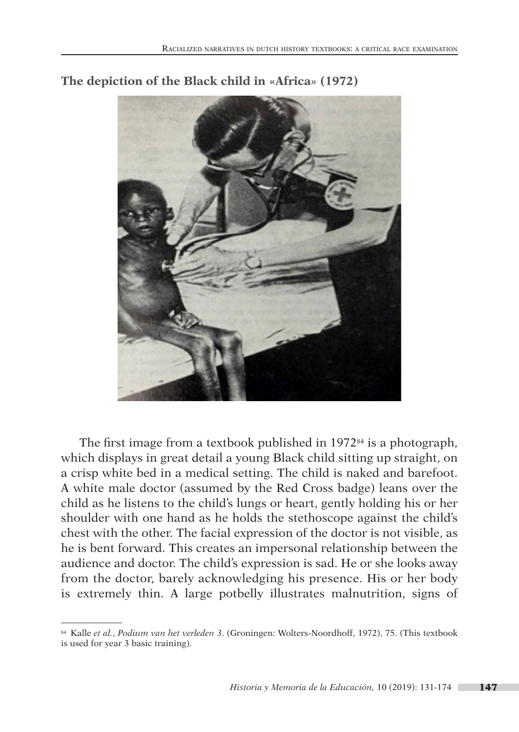

### **The depiction of the Black child in «Africa***»* **(1972)**

The first image from a textbook published in 197284 is a photograph, which displays in great detail a young Black child sitting up straight, on a crisp white bed in a medical setting. The child is naked and barefoot. A white male doctor (assumed by the Red Cross badge) leans over the child as he listens to the child's lungs or heart, gently holding his or her shoulder with one hand as he holds the stethoscope against the child's chest with the other. The facial expression of the doctor is not visible, as he is bent forward. This creates an impersonal relationship between the audience and doctor. The child's expression is sad. He or she looks away from the doctor, barely acknowledging his presence. His or her body is extremely thin. A large potbelly illustrates malnutrition, signs of

<sup>84</sup> Kalle *et al.*, *Podium van het verleden 3*. (Groningen: Wolters-Noordhoff, 1972), 75. (This textbook is used for year 3 basic training).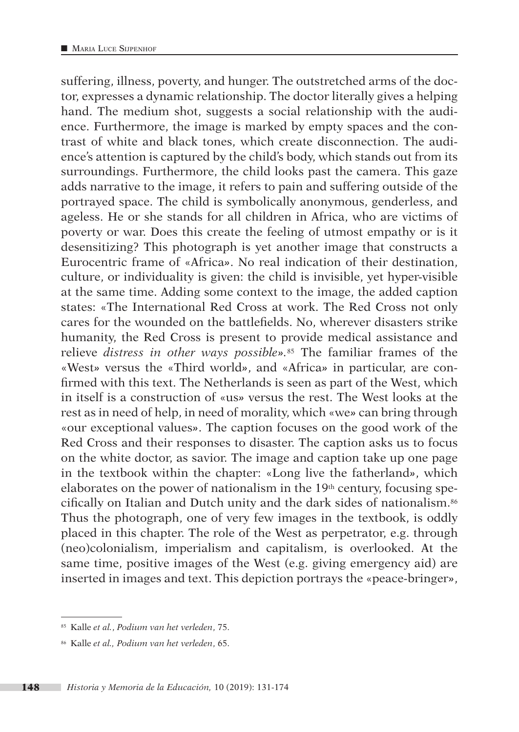suffering, illness, poverty, and hunger. The outstretched arms of the doctor, expresses a dynamic relationship. The doctor literally gives a helping hand. The medium shot, suggests a social relationship with the audience. Furthermore, the image is marked by empty spaces and the contrast of white and black tones, which create disconnection. The audience's attention is captured by the child's body, which stands out from its surroundings. Furthermore, the child looks past the camera. This gaze adds narrative to the image, it refers to pain and suffering outside of the portrayed space. The child is symbolically anonymous, genderless, and ageless. He or she stands for all children in Africa, who are victims of poverty or war. Does this create the feeling of utmost empathy or is it desensitizing? This photograph is yet another image that constructs a Eurocentric frame of «Africa*»*. No real indication of their destination, culture, or individuality is given: the child is invisible, yet hyper-visible at the same time. Adding some context to the image, the added caption states: «The International Red Cross at work. The Red Cross not only cares for the wounded on the battlefields. No, wherever disasters strike humanity, the Red Cross is present to provide medical assistance and relieve *distress in other ways possible».*85 The familiar frames of the «West*»* versus the «Third world*»*, and «Africa*»* in particular, are confirmed with this text. The Netherlands is seen as part of the West, which in itself is a construction of «us*»* versus the rest. The West looks at the rest as in need of help, in need of morality, which «we*»* can bring through «our exceptional values*»*. The caption focuses on the good work of the Red Cross and their responses to disaster. The caption asks us to focus on the white doctor, as savior. The image and caption take up one page in the textbook within the chapter: «Long live the fatherland*»*, which elaborates on the power of nationalism in the  $19<sup>th</sup>$  century, focusing specifically on Italian and Dutch unity and the dark sides of nationalism.86 Thus the photograph, one of very few images in the textbook, is oddly placed in this chapter. The role of the West as perpetrator, e.g. through (neo)colonialism, imperialism and capitalism, is overlooked. At the same time, positive images of the West (e.g. giving emergency aid) are inserted in images and text. This depiction portrays the «peace-bringer*»*,

<sup>85</sup> Kalle *et al.*, *Podium van het verleden*, 75.

<sup>86</sup> Kalle *et al., Podium van het verleden*, 65.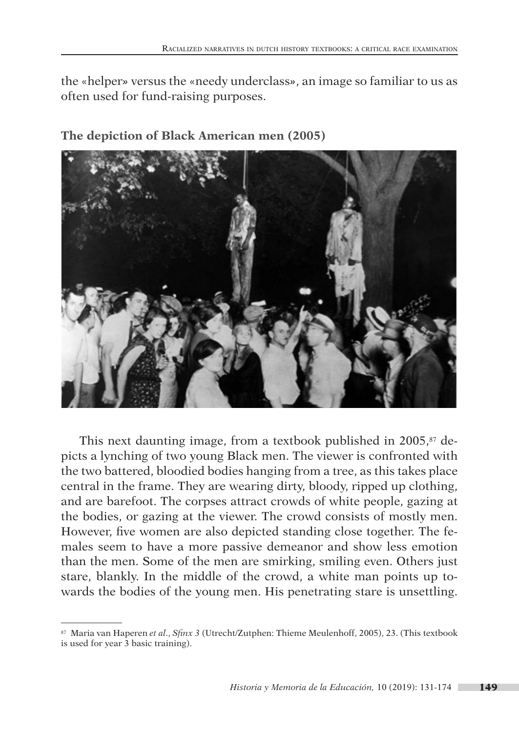the «helper*»* versus the «needy underclass*»*, an image so familiar to us as often used for fund-raising purposes.



**The depiction of Black American men (2005)**

This next daunting image, from a textbook published in  $2005$ ,<sup>87</sup> depicts a lynching of two young Black men. The viewer is confronted with the two battered, bloodied bodies hanging from a tree, as this takes place central in the frame. They are wearing dirty, bloody, ripped up clothing, and are barefoot. The corpses attract crowds of white people, gazing at the bodies, or gazing at the viewer. The crowd consists of mostly men. However, five women are also depicted standing close together. The females seem to have a more passive demeanor and show less emotion than the men. Some of the men are smirking, smiling even. Others just stare, blankly. In the middle of the crowd, a white man points up towards the bodies of the young men. His penetrating stare is unsettling.

<sup>87</sup> Maria van Haperen *et al*., *Sfinx 3* (Utrecht/Zutphen: Thieme Meulenhoff, 2005), 23. (This textbook is used for year 3 basic training).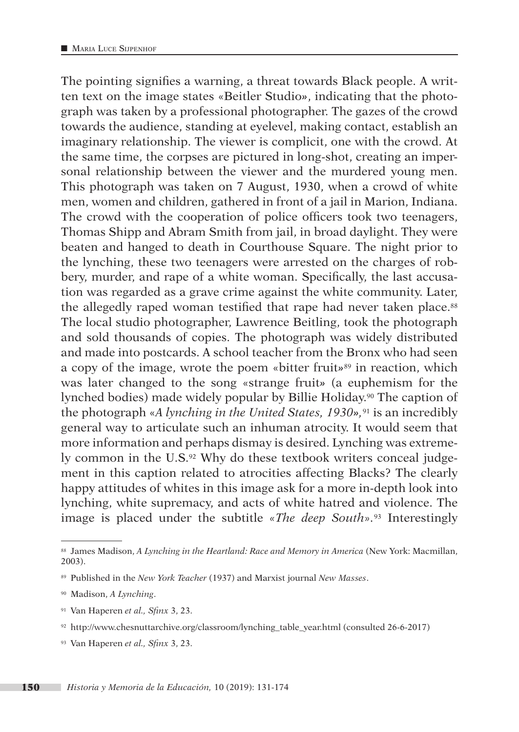The pointing signifies a warning, a threat towards Black people. A written text on the image states «Beitler Studio*»*, indicating that the photograph was taken by a professional photographer. The gazes of the crowd towards the audience, standing at eyelevel, making contact, establish an imaginary relationship. The viewer is complicit, one with the crowd. At the same time, the corpses are pictured in long-shot, creating an impersonal relationship between the viewer and the murdered young men. This photograph was taken on 7 August, 1930, when a crowd of white men, women and children, gathered in front of a jail in Marion, Indiana. The crowd with the cooperation of police officers took two teenagers, Thomas Shipp and Abram Smith from jail, in broad daylight. They were beaten and hanged to death in Courthouse Square. The night prior to the lynching, these two teenagers were arrested on the charges of robbery, murder, and rape of a white woman. Specifically, the last accusation was regarded as a grave crime against the white community. Later, the allegedly raped woman testified that rape had never taken place.<sup>88</sup> The local studio photographer, Lawrence Beitling, took the photograph and sold thousands of copies. The photograph was widely distributed and made into postcards. A school teacher from the Bronx who had seen a copy of the image, wrote the poem «bitter fruit*»*89 in reaction, which was later changed to the song «strange fruit*»* (a euphemism for the lynched bodies) made widely popular by Billie Holiday.<sup>90</sup> The caption of the photograph «*A lynching in the United States, 1930»,*91 is an incredibly general way to articulate such an inhuman atrocity. It would seem that more information and perhaps dismay is desired. Lynching was extremely common in the U.S.<sup>92</sup> Why do these textbook writers conceal judgement in this caption related to atrocities affecting Blacks? The clearly happy attitudes of whites in this image ask for a more in-depth look into lynching, white supremacy, and acts of white hatred and violence. The image is placed under the subtitle *«The deep South».*93 Interestingly

<sup>91</sup> Van Haperen *et al., Sfinx* 3, 23.

<sup>88</sup> James Madison, *A Lynching in the Heartland: Race and Memory in America* (New York: Macmillan, 2003).

<sup>89</sup> Published in the *New York Teacher* (1937) and Marxist journal *New Masses*.

<sup>90</sup> Madison, *A Lynching*.

<sup>92</sup> [http://www.chesnuttarchive.org/classroom/lynching\\_table\\_year.html](http://www.chesnuttarchive.org/classroom/lynching_table_year.html) (consulted 26-6-2017)

<sup>93</sup> Van Haperen *et al., Sfinx* 3, 23.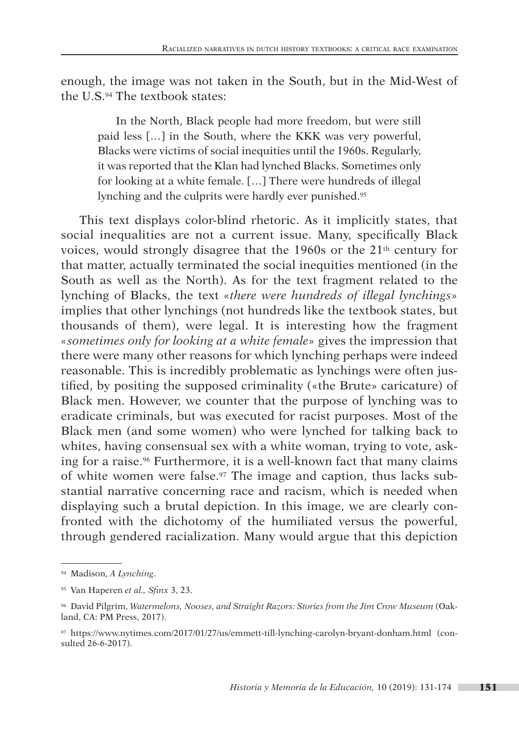enough, the image was not taken in the South, but in the Mid-West of the U.S.94 The textbook states:

In the North, Black people had more freedom, but were still paid less […] in the South, where the KKK was very powerful, Blacks were victims of social inequities until the 1960s. Regularly, it was reported that the Klan had lynched Blacks. Sometimes only for looking at a white female. […] There were hundreds of illegal lynching and the culprits were hardly ever punished.95

This text displays color-blind rhetoric. As it implicitly states, that social inequalities are not a current issue. Many, specifically Black voices, would strongly disagree that the 1960s or the  $21<sup>th</sup>$  century for that matter, actually terminated the social inequities mentioned (in the South as well as the North). As for the text fragment related to the lynching of Blacks, the text *«there were hundreds of illegal lynchings»*  implies that other lynchings (not hundreds like the textbook states, but thousands of them), were legal. It is interesting how the fragment *«sometimes only for looking at a white female»* gives the impression that there were many other reasons for which lynching perhaps were indeed reasonable. This is incredibly problematic as lynchings were often justified, by positing the supposed criminality («the Brute» caricature) of Black men. However, we counter that the purpose of lynching was to eradicate criminals, but was executed for racist purposes. Most of the Black men (and some women) who were lynched for talking back to whites, having consensual sex with a white woman, trying to vote, asking for a raise.96 Furthermore, it is a well-known fact that many claims of white women were false.97 The image and caption, thus lacks substantial narrative concerning race and racism, which is needed when displaying such a brutal depiction. In this image, we are clearly confronted with the dichotomy of the humiliated versus the powerful, through gendered racialization. Many would argue that this depiction

<sup>94</sup> Madison, *A Lynching*.

<sup>95</sup> Van Haperen *et al., Sfinx* 3, 23.

<sup>96</sup> David Pilgrim, *Watermelons, Nooses, and Straight Razors: Stories from the Jim Crow Museum* (Oakland, CA: PM Press, 2017).

<sup>97</sup> <https://www.nytimes.com/2017/01/27/us/emmett-till-lynching-carolyn-bryant-donham.html>(consulted 26-6-2017).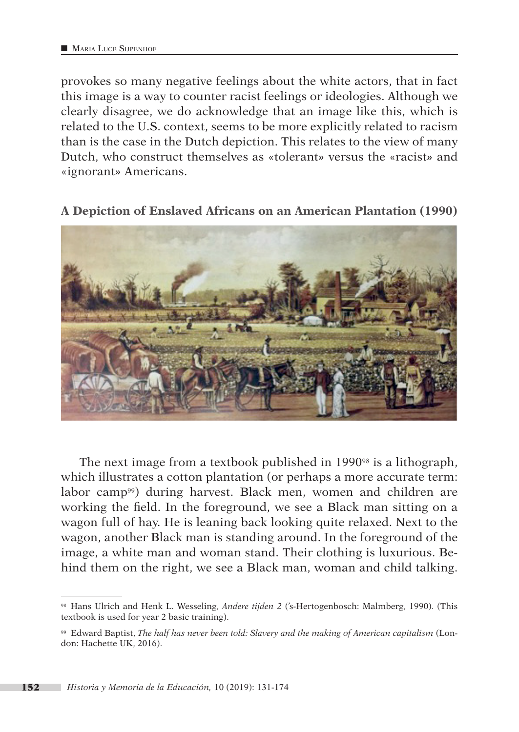provokes so many negative feelings about the white actors, that in fact this image is a way to counter racist feelings or ideologies. Although we clearly disagree, we do acknowledge that an image like this, which is related to the U.S. context, seems to be more explicitly related to racism than is the case in the Dutch depiction. This relates to the view of many Dutch, who construct themselves as «tolerant*»* versus the «racist*»* and «ignorant*»* Americans.

### **A Depiction of Enslaved Africans on an American Plantation (1990)**



The next image from a textbook published in 1990 $\frac{1}{2}$  is a lithograph, which illustrates a cotton plantation (or perhaps a more accurate term: labor camp<sup>99</sup>) during harvest. Black men, women and children are working the field. In the foreground, we see a Black man sitting on a wagon full of hay. He is leaning back looking quite relaxed. Next to the wagon, another Black man is standing around. In the foreground of the image, a white man and woman stand. Their clothing is luxurious. Behind them on the right, we see a Black man, woman and child talking.

<sup>98</sup> Hans Ulrich and Henk L. Wesseling, *Andere tijden 2* ('s-Hertogenbosch: Malmberg, 1990). (This textbook is used for year 2 basic training).

<sup>99</sup> Edward Baptist, *The half has never been told: Slavery and the making of American capitalism* (London: Hachette UK, 2016).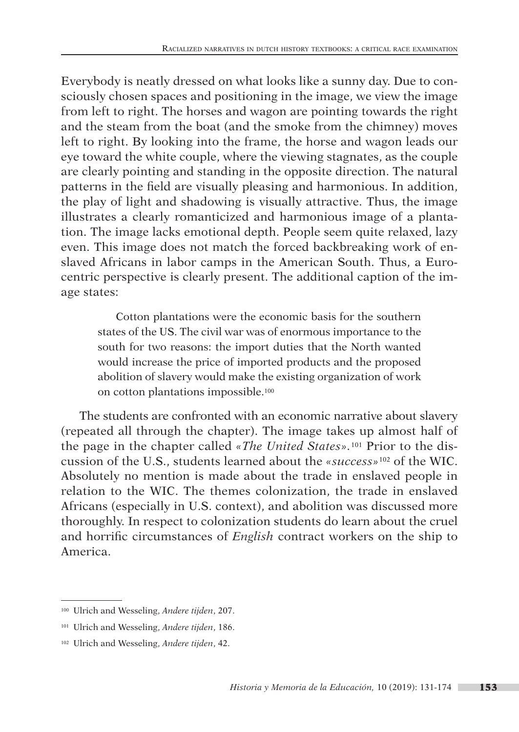Everybody is neatly dressed on what looks like a sunny day. Due to consciously chosen spaces and positioning in the image, we view the image from left to right. The horses and wagon are pointing towards the right and the steam from the boat (and the smoke from the chimney) moves left to right. By looking into the frame, the horse and wagon leads our eye toward the white couple, where the viewing stagnates, as the couple are clearly pointing and standing in the opposite direction. The natural patterns in the field are visually pleasing and harmonious. In addition, the play of light and shadowing is visually attractive. Thus, the image illustrates a clearly romanticized and harmonious image of a plantation. The image lacks emotional depth. People seem quite relaxed, lazy even. This image does not match the forced backbreaking work of enslaved Africans in labor camps in the American South. Thus, a Eurocentric perspective is clearly present. The additional caption of the image states:

Cotton plantations were the economic basis for the southern states of the US. The civil war was of enormous importance to the south for two reasons: the import duties that the North wanted would increase the price of imported products and the proposed abolition of slavery would make the existing organization of work on cotton plantations impossible.100

The students are confronted with an economic narrative about slavery (repeated all through the chapter). The image takes up almost half of the page in the chapter called *«The United States».*101 Prior to the discussion of the U.S., students learned about the *«success»*102 of the WIC. Absolutely no mention is made about the trade in enslaved people in relation to the WIC. The themes colonization, the trade in enslaved Africans (especially in U.S. context), and abolition was discussed more thoroughly. In respect to colonization students do learn about the cruel and horrific circumstances of *English* contract workers on the ship to America.

<sup>100</sup> Ulrich and Wesseling, *Andere tijden*, 207.

<sup>101</sup> Ulrich and Wesseling, *Andere tijden*, 186.

<sup>102</sup> Ulrich and Wesseling, *Andere tijden*, 42.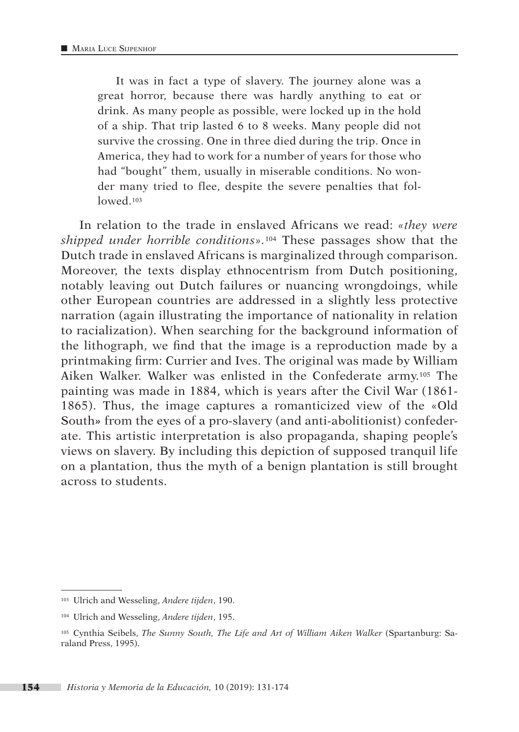It was in fact a type of slavery. The journey alone was a great horror, because there was hardly anything to eat or drink. As many people as possible, were locked up in the hold of a ship. That trip lasted 6 to 8 weeks. Many people did not survive the crossing. One in three died during the trip. Once in America, they had to work for a number of years for those who had "bought" them, usually in miserable conditions. No wonder many tried to flee, despite the severe penalties that followed<sup>103</sup>

In relation to the trade in enslaved Africans we read: *«they were shipped under horrible conditions».*<sup>104</sup> These passages show that the Dutch trade in enslaved Africans is marginalized through comparison. Moreover, the texts display ethnocentrism from Dutch positioning, notably leaving out Dutch failures or nuancing wrongdoings, while other European countries are addressed in a slightly less protective narration (again illustrating the importance of nationality in relation to racialization). When searching for the background information of the lithograph, we find that the image is a reproduction made by a printmaking firm: Currier and Ives. The original was made by William Aiken Walker. Walker was enlisted in the Confederate army.105 The painting was made in 1884, which is years after the Civil War (1861- 1865). Thus, the image captures a romanticized view of the «Old South*»* from the eyes of a pro-slavery (and anti-abolitionist) confederate. This artistic interpretation is also propaganda, shaping people's views on slavery. By including this depiction of supposed tranquil life on a plantation, thus the myth of a benign plantation is still brought across to students.

<sup>103</sup> Ulrich and Wesseling, *Andere tijden*, 190.

<sup>104</sup> Ulrich and Wesseling, *Andere tijden*, 195.

<sup>105</sup> Cynthia Seibels, *The Sunny South, The Life and Art of William Aiken Walker* (Spartanburg: Saraland Press, 1995).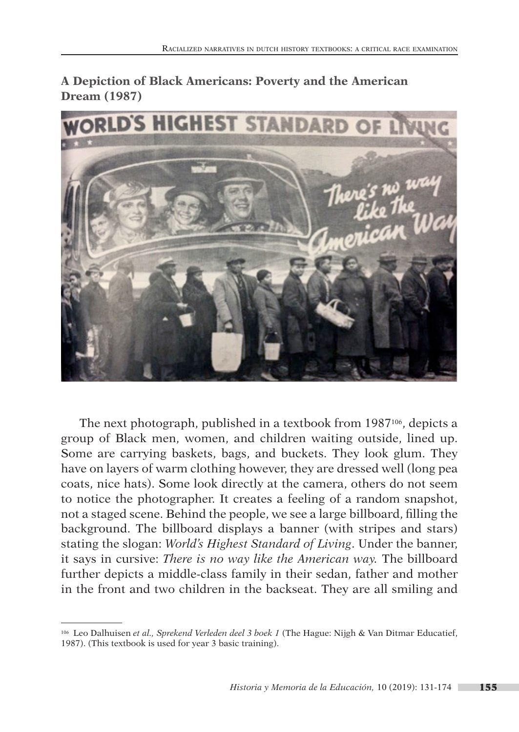**A Depiction of Black Americans: Poverty and the American Dream (1987)**



The next photograph, published in a textbook from 1987<sup>106</sup>, depicts a group of Black men, women, and children waiting outside, lined up. Some are carrying baskets, bags, and buckets. They look glum. They have on layers of warm clothing however, they are dressed well (long pea coats, nice hats). Some look directly at the camera, others do not seem to notice the photographer. It creates a feeling of a random snapshot, not a staged scene. Behind the people, we see a large billboard, filling the background. The billboard displays a banner (with stripes and stars) stating the slogan: *World's Highest Standard of Living*. Under the banner, it says in cursive: *There is no way like the American way.* The billboard further depicts a middle-class family in their sedan, father and mother in the front and two children in the backseat. They are all smiling and

<sup>106</sup> Leo Dalhuisen *et al., Sprekend Verleden deel 3 boek 1* (The Hague: Nijgh & Van Ditmar Educatief, 1987). (This textbook is used for year 3 basic training).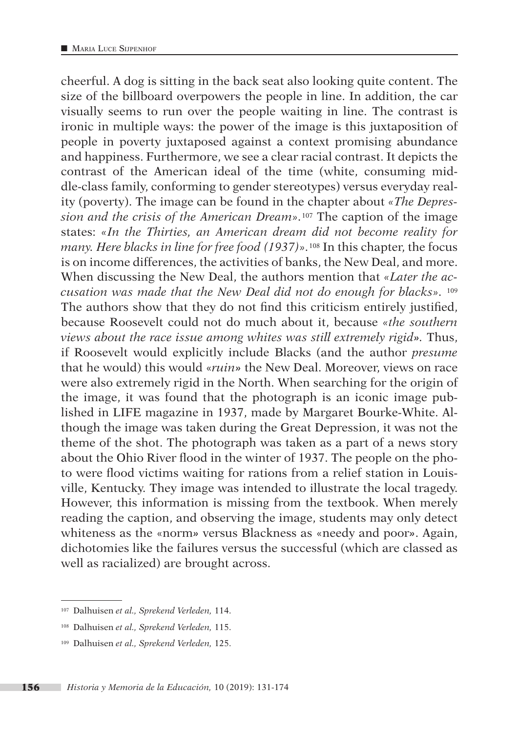cheerful. A dog is sitting in the back seat also looking quite content. The size of the billboard overpowers the people in line. In addition, the car visually seems to run over the people waiting in line. The contrast is ironic in multiple ways: the power of the image is this juxtaposition of people in poverty juxtaposed against a context promising abundance and happiness. Furthermore, we see a clear racial contrast. It depicts the contrast of the American ideal of the time (white, consuming middle-class family, conforming to gender stereotypes) versus everyday reality (poverty). The image can be found in the chapter about *«The Depression and the crisis of the American Dream».*107 The caption of the image states: *«In the Thirties, an American dream did not become reality for many. Here blacks in line for free food (1937)».*108 In this chapter, the focus is on income differences, the activities of banks, the New Deal, and more. When discussing the New Deal, the authors mention that *«Later the accusation was made that the New Deal did not do enough for blacks».* <sup>109</sup> The authors show that they do not find this criticism entirely justified, because Roosevelt could not do much about it, because *«the southern views about the race issue among whites was still extremely rigid».* Thus, if Roosevelt would explicitly include Blacks (and the author *presume* that he would) this would «*ruin»* the New Deal. Moreover, views on race were also extremely rigid in the North. When searching for the origin of the image, it was found that the photograph is an iconic image published in LIFE magazine in 1937, made by Margaret Bourke-White. Although the image was taken during the Great Depression, it was not the theme of the shot. The photograph was taken as a part of a news story about the Ohio River flood in the winter of 1937. The people on the photo were flood victims waiting for rations from a relief station in Louisville, Kentucky. They image was intended to illustrate the local tragedy. However, this information is missing from the textbook. When merely reading the caption, and observing the image, students may only detect whiteness as the «norm*»* versus Blackness as «needy and poor*»*. Again, dichotomies like the failures versus the successful (which are classed as well as racialized) are brought across.

<sup>107</sup> Dalhuisen *et al., Sprekend Verleden,* 114.

<sup>108</sup> Dalhuisen *et al., Sprekend Verleden,* 115.

<sup>109</sup> Dalhuisen *et al., Sprekend Verleden,* 125.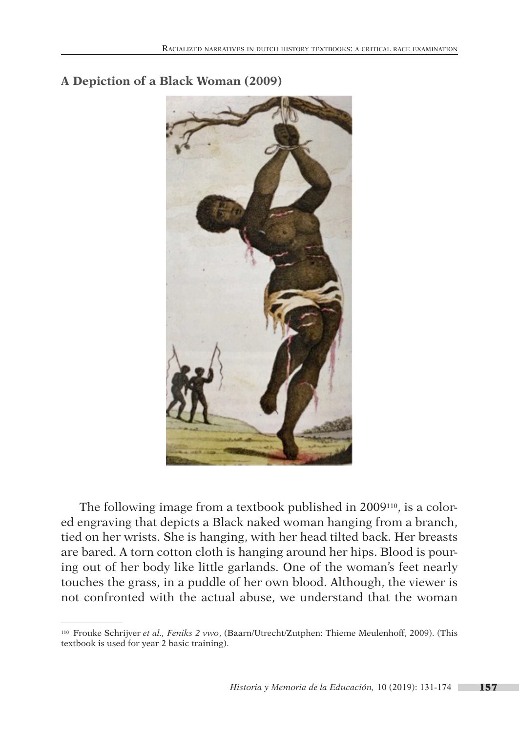

**A Depiction of a Black Woman (2009)**

The following image from a textbook published in 2009110, is a colored engraving that depicts a Black naked woman hanging from a branch, tied on her wrists. She is hanging, with her head tilted back. Her breasts are bared. A torn cotton cloth is hanging around her hips. Blood is pouring out of her body like little garlands. One of the woman's feet nearly touches the grass, in a puddle of her own blood. Although, the viewer is not confronted with the actual abuse, we understand that the woman

<sup>110</sup> Frouke Schrijver *et al., Feniks 2 vwo*, (Baarn/Utrecht/Zutphen: Thieme Meulenhoff, 2009). (This textbook is used for year 2 basic training).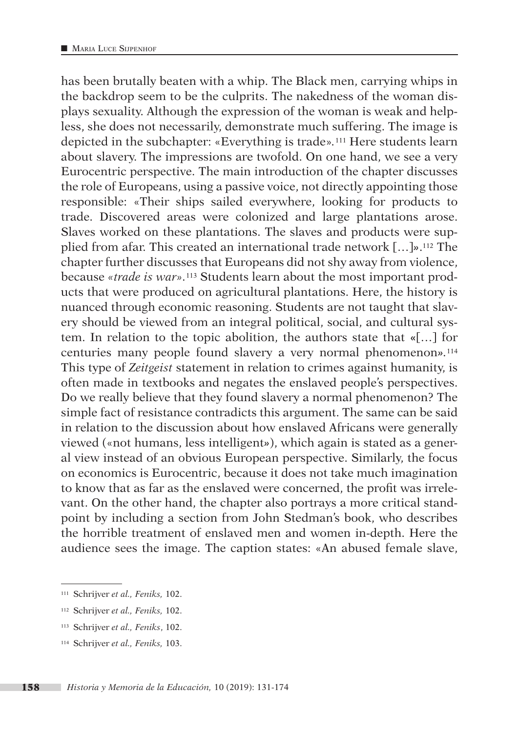has been brutally beaten with a whip. The Black men, carrying whips in the backdrop seem to be the culprits. The nakedness of the woman displays sexuality. Although the expression of the woman is weak and helpless, she does not necessarily, demonstrate much suffering. The image is depicted in the subchapter: «Everything is trade»*.*111 Here students learn about slavery. The impressions are twofold. On one hand, we see a very Eurocentric perspective. The main introduction of the chapter discusses the role of Europeans, using a passive voice, not directly appointing those responsible: «Their ships sailed everywhere, looking for products to trade. Discovered areas were colonized and large plantations arose. Slaves worked on these plantations. The slaves and products were supplied from afar. This created an international trade network […]*»*.112 The chapter further discusses that Europeans did not shy away from violence, because *«trade is war».*113 Students learn about the most important products that were produced on agricultural plantations. Here, the history is nuanced through economic reasoning. Students are not taught that slavery should be viewed from an integral political, social, and cultural system. In relation to the topic abolition, the authors state that **«**[…] for centuries many people found slavery a very normal phenomenon*».*<sup>114</sup> This type of *Zeitgeist* statement in relation to crimes against humanity, is often made in textbooks and negates the enslaved people's perspectives. Do we really believe that they found slavery a normal phenomenon? The simple fact of resistance contradicts this argument. The same can be said in relation to the discussion about how enslaved Africans were generally viewed («not humans, less intelligent*»*), which again is stated as a general view instead of an obvious European perspective. Similarly, the focus on economics is Eurocentric, because it does not take much imagination to know that as far as the enslaved were concerned, the profit was irrelevant. On the other hand, the chapter also portrays a more critical standpoint by including a section from John Stedman's book, who describes the horrible treatment of enslaved men and women in-depth. Here the audience sees the image. The caption states: «An abused female slave,

<sup>111</sup> Schrijver *et al., Feniks,* 102.

<sup>112</sup> Schrijver *et al., Feniks,* 102.

<sup>113</sup> Schrijver *et al., Feniks*, 102.

<sup>114</sup> Schrijver *et al., Feniks,* 103.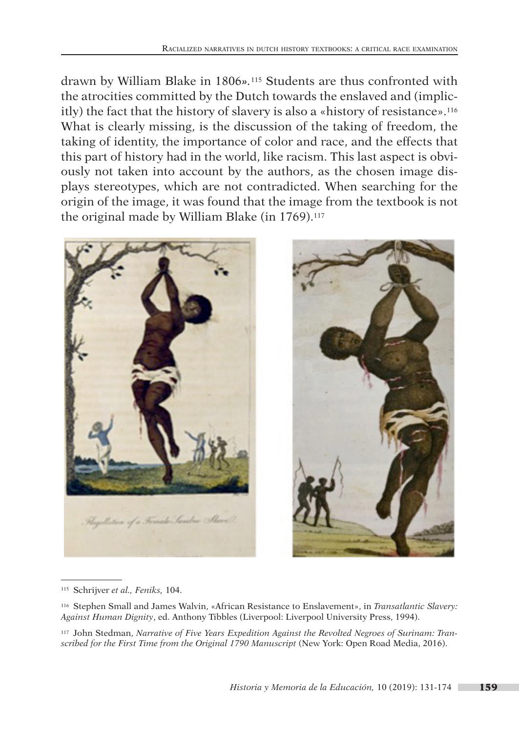drawn by William Blake in 1806*».*115 Students are thus confronted with the atrocities committed by the Dutch towards the enslaved and (implicitly) the fact that the history of slavery is also a «history of resistance».116 What is clearly missing, is the discussion of the taking of freedom, the taking of identity, the importance of color and race, and the effects that this part of history had in the world, like racism. This last aspect is obviously not taken into account by the authors, as the chosen image displays stereotypes, which are not contradicted. When searching for the origin of the image, it was found that the image from the textbook is not the original made by William Blake (in 1769).<sup>117</sup>





<sup>115</sup> Schrijver *et al., Feniks,* 104.

<sup>116</sup> Stephen Small and James Walvin, «African Resistance to Enslavement», in *Transatlantic Slavery: Against Human Dignity*, ed. Anthony Tibbles (Liverpool: Liverpool University Press, 1994).

<sup>117</sup> John Stedman, *Narrative of Five Years Expedition Against the Revolted Negroes of Surinam: Transcribed for the First Time from the Original 1790 Manuscript* (New York: Open Road Media, 2016).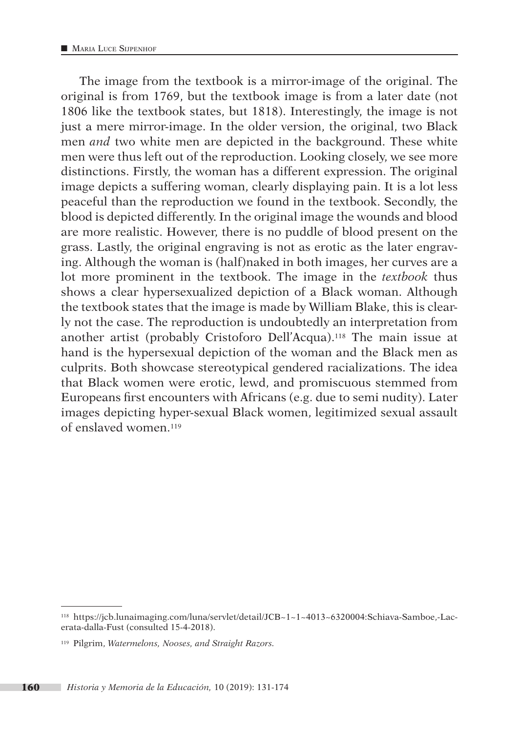The image from the textbook is a mirror-image of the original. The original is from 1769, but the textbook image is from a later date (not 1806 like the textbook states, but 1818). Interestingly, the image is not just a mere mirror-image. In the older version, the original, two Black men *and* two white men are depicted in the background. These white men were thus left out of the reproduction. Looking closely, we see more distinctions. Firstly, the woman has a different expression. The original image depicts a suffering woman, clearly displaying pain. It is a lot less peaceful than the reproduction we found in the textbook. Secondly, the blood is depicted differently. In the original image the wounds and blood are more realistic. However, there is no puddle of blood present on the grass. Lastly, the original engraving is not as erotic as the later engraving. Although the woman is (half)naked in both images, her curves are a lot more prominent in the textbook. The image in the *textbook* thus shows a clear hypersexualized depiction of a Black woman. Although the textbook states that the image is made by William Blake, this is clearly not the case. The reproduction is undoubtedly an interpretation from another artist (probably Cristoforo Dell'Acqua).118 The main issue at hand is the hypersexual depiction of the woman and the Black men as culprits. Both showcase stereotypical gendered racializations. The idea that Black women were erotic, lewd, and promiscuous stemmed from Europeans first encounters with Africans (e.g. due to semi nudity). Later images depicting hyper-sexual Black women, legitimized sexual assault of enslaved women.119

<sup>118</sup> [https://jcb.lunaimaging.com/luna/servlet/detail/JCB~1~1~4013~6320004:Schiava-Samboe,-Lac](https://jcb.lunaimaging.com/luna/servlet/detail/JCB~1~1~4013~6320004:Schiava-Samboe,-Lacerata-dalla-Fust)[erata-dalla-Fust](https://jcb.lunaimaging.com/luna/servlet/detail/JCB~1~1~4013~6320004:Schiava-Samboe,-Lacerata-dalla-Fust) (consulted 15-4-2018).

<sup>119</sup> Pilgrim, *Watermelons, Nooses, and Straight Razors.*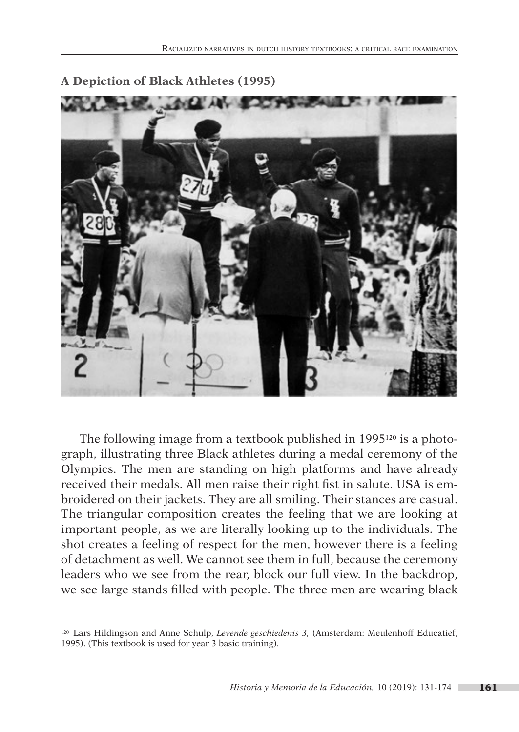

### **A Depiction of Black Athletes (1995)**

The following image from a textbook published in 1995120 is a photograph, illustrating three Black athletes during a medal ceremony of the Olympics. The men are standing on high platforms and have already received their medals. All men raise their right fist in salute. USA is embroidered on their jackets. They are all smiling. Their stances are casual. The triangular composition creates the feeling that we are looking at important people, as we are literally looking up to the individuals. The shot creates a feeling of respect for the men, however there is a feeling of detachment as well. We cannot see them in full, because the ceremony leaders who we see from the rear, block our full view. In the backdrop, we see large stands filled with people. The three men are wearing black

<sup>120</sup> Lars Hildingson and Anne Schulp, *Levende geschiedenis 3,* (Amsterdam: Meulenhoff Educatief, 1995). (This textbook is used for year 3 basic training).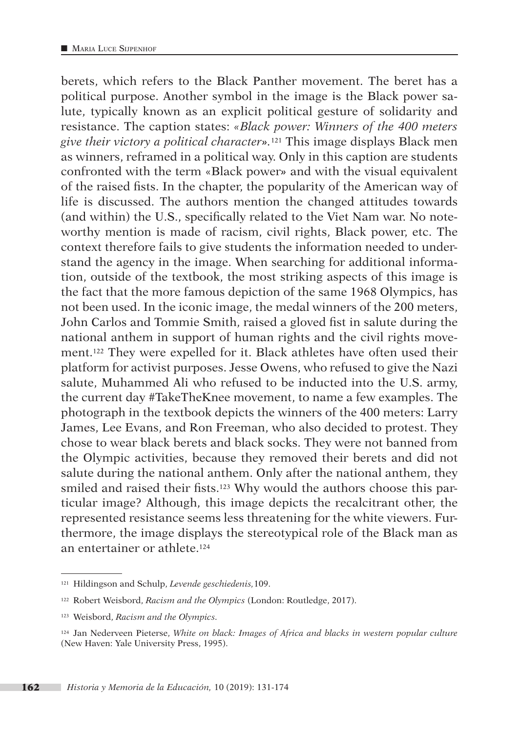berets, which refers to the Black Panther movement. The beret has a political purpose. Another symbol in the image is the Black power salute, typically known as an explicit political gesture of solidarity and resistance. The caption states: *«Black power: Winners of the 400 meters give their victory a political character».*121 This image displays Black men as winners, reframed in a political way. Only in this caption are students confronted with the term «Black power*»* and with the visual equivalent of the raised fists. In the chapter, the popularity of the American way of life is discussed. The authors mention the changed attitudes towards (and within) the U.S., specifically related to the Viet Nam war. No noteworthy mention is made of racism, civil rights, Black power, etc. The context therefore fails to give students the information needed to understand the agency in the image. When searching for additional information, outside of the textbook, the most striking aspects of this image is the fact that the more famous depiction of the same 1968 Olympics, has not been used. In the iconic image, the medal winners of the 200 meters, John Carlos and Tommie Smith, raised a gloved fist in salute during the national anthem in support of human rights and the civil rights movement.122 They were expelled for it. Black athletes have often used their platform for activist purposes. Jesse Owens, who refused to give the Nazi salute, Muhammed Ali who refused to be inducted into the U.S. army, the current day #TakeTheKnee movement, to name a few examples. The photograph in the textbook depicts the winners of the 400 meters: Larry James, Lee Evans, and Ron Freeman, who also decided to protest. They chose to wear black berets and black socks. They were not banned from the Olympic activities, because they removed their berets and did not salute during the national anthem. Only after the national anthem, they smiled and raised their fists.<sup>123</sup> Why would the authors choose this particular image? Although, this image depicts the recalcitrant other, the represented resistance seems less threatening for the white viewers. Furthermore, the image displays the stereotypical role of the Black man as an entertainer or athlete.124

<sup>121</sup> Hildingson and Schulp, *Levende geschiedenis,*109.

<sup>122</sup> Robert Weisbord, *Racism and the Olympics* (London: Routledge, 2017).

<sup>123</sup> Weisbord, *Racism and the Olympics.*

<sup>124</sup> Jan Nederveen Pieterse, *White on black: Images of Africa and blacks in western popular culture* (New Haven: Yale University Press, 1995).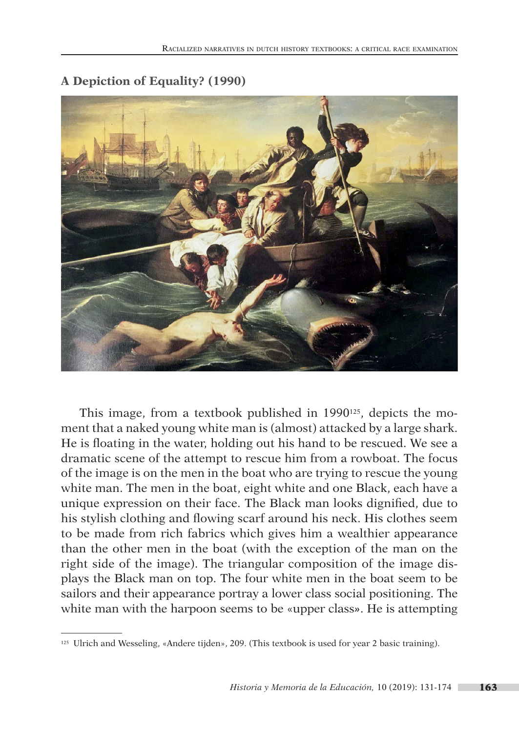

## **A Depiction of Equality? (1990)**

This image, from a textbook published in 1990125, depicts the moment that a naked young white man is (almost) attacked by a large shark. He is floating in the water, holding out his hand to be rescued. We see a dramatic scene of the attempt to rescue him from a rowboat. The focus of the image is on the men in the boat who are trying to rescue the young white man. The men in the boat, eight white and one Black, each have a unique expression on their face. The Black man looks dignified, due to his stylish clothing and flowing scarf around his neck. His clothes seem to be made from rich fabrics which gives him a wealthier appearance than the other men in the boat (with the exception of the man on the right side of the image). The triangular composition of the image displays the Black man on top. The four white men in the boat seem to be sailors and their appearance portray a lower class social positioning. The white man with the harpoon seems to be «upper class*»*. He is attempting

<sup>125</sup> Ulrich and Wesseling, «Andere tijden», 209. (This textbook is used for year 2 basic training).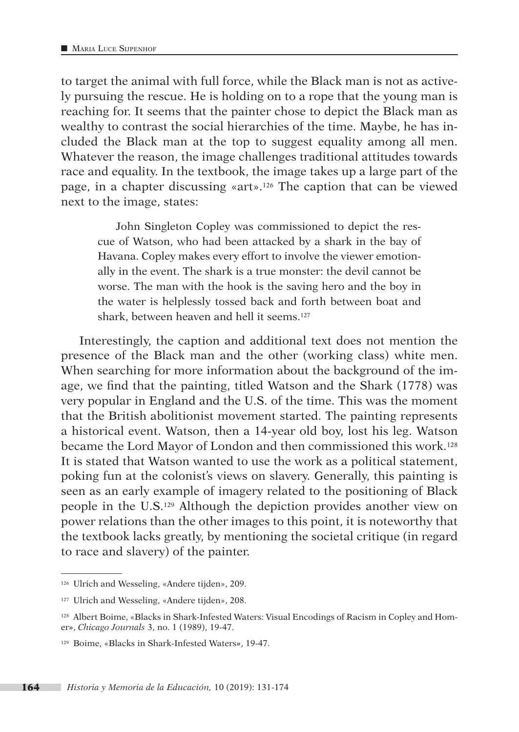to target the animal with full force, while the Black man is not as actively pursuing the rescue. He is holding on to a rope that the young man is reaching for. It seems that the painter chose to depict the Black man as wealthy to contrast the social hierarchies of the time. Maybe, he has included the Black man at the top to suggest equality among all men. Whatever the reason, the image challenges traditional attitudes towards race and equality. In the textbook, the image takes up a large part of the page, in a chapter discussing «art».126 The caption that can be viewed next to the image, states:

John Singleton Copley was commissioned to depict the rescue of Watson, who had been attacked by a shark in the bay of Havana. Copley makes every effort to involve the viewer emotionally in the event. The shark is a true monster: the devil cannot be worse. The man with the hook is the saving hero and the boy in the water is helplessly tossed back and forth between boat and shark, between heaven and hell it seems.127

Interestingly, the caption and additional text does not mention the presence of the Black man and the other (working class) white men. When searching for more information about the background of the image, we find that the painting, titled Watson and the Shark (1778) was very popular in England and the U.S. of the time. This was the moment that the British abolitionist movement started. The painting represents a historical event. Watson, then a 14-year old boy, lost his leg. Watson became the Lord Mayor of London and then commissioned this work.128 It is stated that Watson wanted to use the work as a political statement, poking fun at the colonist's views on slavery. Generally, this painting is seen as an early example of imagery related to the positioning of Black people in the U.S.129 Although the depiction provides another view on power relations than the other images to this point, it is noteworthy that the textbook lacks greatly, by mentioning the societal critique (in regard to race and slavery) of the painter.

<sup>126</sup> Ulrich and Wesseling, «Andere tijden», 209.

<sup>127</sup> Ulrich and Wesseling, «Andere tijden», 208.

<sup>128</sup> Albert Boime, «Blacks in Shark-Infested Waters: Visual Encodings of Racism in Copley and Homer*»*, *Chicago Journals* 3, no. 1 (1989), 19-47.

<sup>129</sup> Boime, «Blacks in Shark-Infested Waters*»*, 19-47.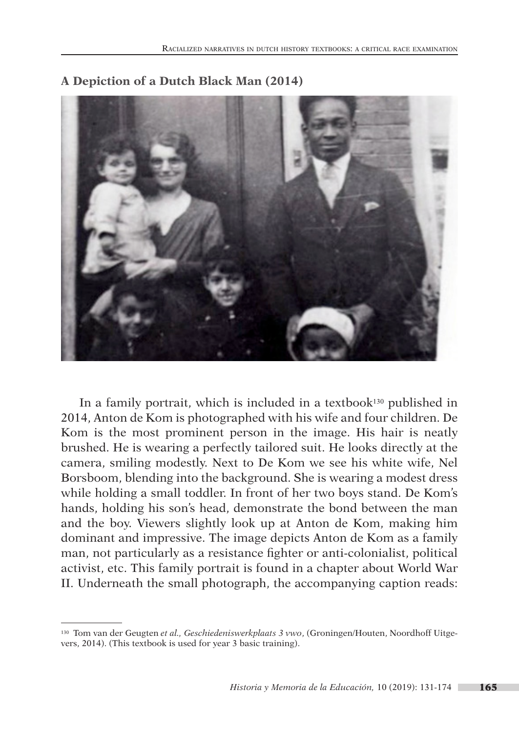

### **A Depiction of a Dutch Black Man (2014)**

In a family portrait, which is included in a textbook<sup>130</sup> published in 2014, Anton de Kom is photographed with his wife and four children. De Kom is the most prominent person in the image. His hair is neatly brushed. He is wearing a perfectly tailored suit. He looks directly at the camera, smiling modestly. Next to De Kom we see his white wife, Nel Borsboom, blending into the background. She is wearing a modest dress while holding a small toddler. In front of her two boys stand. De Kom's hands, holding his son's head, demonstrate the bond between the man and the boy. Viewers slightly look up at Anton de Kom, making him dominant and impressive. The image depicts Anton de Kom as a family man, not particularly as a resistance fighter or anti-colonialist, political activist, etc. This family portrait is found in a chapter about World War II. Underneath the small photograph, the accompanying caption reads:

<sup>130</sup> Tom van der Geugten *et al., Geschiedeniswerkplaats 3 vwo*, (Groningen/Houten, Noordhoff Uitgevers, 2014). (This textbook is used for year 3 basic training).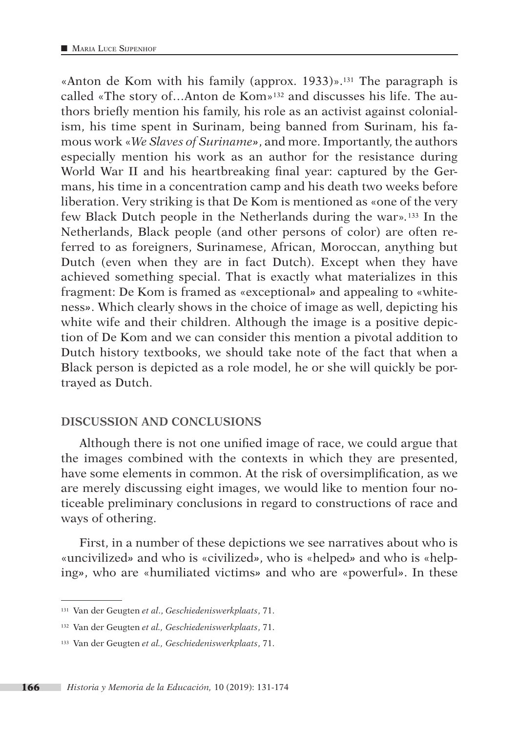«Anton de Kom with his family (approx. 1933)».131 The paragraph is called «The story of...Anton de  $Kom<sub>2</sub>$ <sup>132</sup> and discusses his life. The authors briefly mention his family, his role as an activist against colonialism, his time spent in Surinam, being banned from Surinam, his famous work «*We Slaves of Suriname»*, and more. Importantly, the authors especially mention his work as an author for the resistance during World War II and his heartbreaking final year: captured by the Germans, his time in a concentration camp and his death two weeks before liberation. Very striking is that De Kom is mentioned as «one of the very few Black Dutch people in the Netherlands during the war»*.*133 In the Netherlands, Black people (and other persons of color) are often referred to as foreigners, Surinamese, African, Moroccan, anything but Dutch (even when they are in fact Dutch). Except when they have achieved something special. That is exactly what materializes in this fragment: De Kom is framed as «exceptional*»* and appealing to «whiteness*»*. Which clearly shows in the choice of image as well, depicting his white wife and their children. Although the image is a positive depiction of De Kom and we can consider this mention a pivotal addition to Dutch history textbooks, we should take note of the fact that when a Black person is depicted as a role model, he or she will quickly be portrayed as Dutch.

#### **DISCUSSION AND CONCLUSIONS**

Although there is not one unified image of race, we could argue that the images combined with the contexts in which they are presented, have some elements in common. At the risk of oversimplification, as we are merely discussing eight images, we would like to mention four noticeable preliminary conclusions in regard to constructions of race and ways of othering.

First, in a number of these depictions we see narratives about who is «uncivilized*»* and who is «civilized*»*, who is «helped*»* and who is «helping*»*, who are «humiliated victims*»* and who are «powerful*»*. In these

<sup>131</sup> Van der Geugten *et al*., *Geschiedeniswerkplaats*, 71.

<sup>132</sup> Van der Geugten *et al., Geschiedeniswerkplaats*, 71.

<sup>133</sup> Van der Geugten *et al., Geschiedeniswerkplaats*, 71.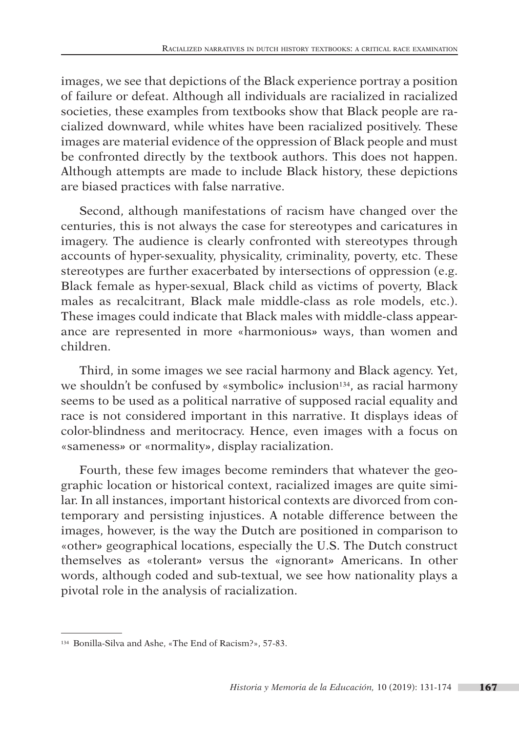images, we see that depictions of the Black experience portray a position of failure or defeat. Although all individuals are racialized in racialized societies, these examples from textbooks show that Black people are racialized downward, while whites have been racialized positively. These images are material evidence of the oppression of Black people and must be confronted directly by the textbook authors. This does not happen. Although attempts are made to include Black history, these depictions are biased practices with false narrative.

Second, although manifestations of racism have changed over the centuries, this is not always the case for stereotypes and caricatures in imagery. The audience is clearly confronted with stereotypes through accounts of hyper-sexuality, physicality, criminality, poverty, etc. These stereotypes are further exacerbated by intersections of oppression (e.g. Black female as hyper-sexual, Black child as victims of poverty, Black males as recalcitrant, Black male middle-class as role models, etc.). These images could indicate that Black males with middle-class appearance are represented in more «harmonious*»* ways, than women and children.

Third, in some images we see racial harmony and Black agency. Yet, we shouldn't be confused by «symbolic» inclusion<sup>134</sup>, as racial harmony seems to be used as a political narrative of supposed racial equality and race is not considered important in this narrative. It displays ideas of color-blindness and meritocracy. Hence, even images with a focus on «sameness*»* or «normality*»*, display racialization.

Fourth, these few images become reminders that whatever the geographic location or historical context, racialized images are quite similar. In all instances, important historical contexts are divorced from contemporary and persisting injustices. A notable difference between the images, however, is the way the Dutch are positioned in comparison to «other*»* geographical locations, especially the U.S. The Dutch construct themselves as «tolerant*»* versus the «ignorant*»* Americans. In other words, although coded and sub-textual, we see how nationality plays a pivotal role in the analysis of racialization.

<sup>134</sup> Bonilla-Silva and Ashe, «The End of Racism?», 57-83.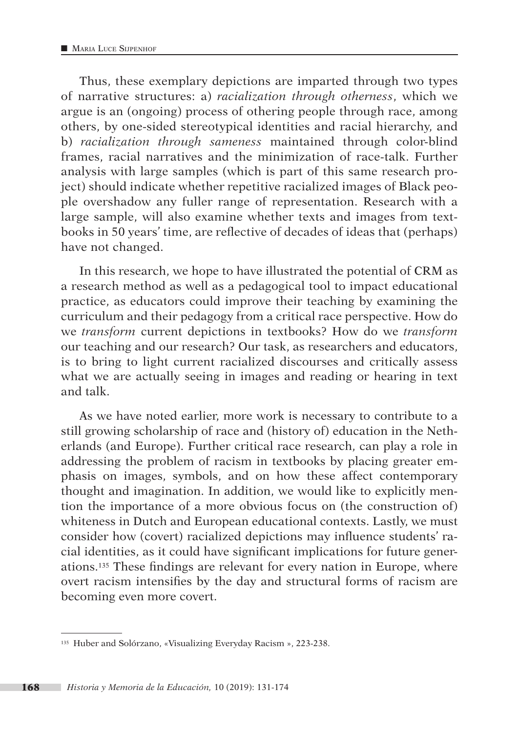Thus, these exemplary depictions are imparted through two types of narrative structures: a) *racialization through otherness*, which we argue is an (ongoing) process of othering people through race, among others, by one-sided stereotypical identities and racial hierarchy, and b) *racialization through sameness* maintained through color-blind frames, racial narratives and the minimization of race-talk. Further analysis with large samples (which is part of this same research project) should indicate whether repetitive racialized images of Black people overshadow any fuller range of representation. Research with a large sample, will also examine whether texts and images from textbooks in 50 years' time, are reflective of decades of ideas that (perhaps) have not changed.

In this research, we hope to have illustrated the potential of CRM as a research method as well as a pedagogical tool to impact educational practice, as educators could improve their teaching by examining the curriculum and their pedagogy from a critical race perspective. How do we *transform* current depictions in textbooks? How do we *transform* our teaching and our research? Our task, as researchers and educators, is to bring to light current racialized discourses and critically assess what we are actually seeing in images and reading or hearing in text and talk.

As we have noted earlier, more work is necessary to contribute to a still growing scholarship of race and (history of) education in the Netherlands (and Europe). Further critical race research, can play a role in addressing the problem of racism in textbooks by placing greater emphasis on images, symbols, and on how these affect contemporary thought and imagination. In addition, we would like to explicitly mention the importance of a more obvious focus on (the construction of) whiteness in Dutch and European educational contexts. Lastly, we must consider how (covert) racialized depictions may influence students' racial identities, as it could have significant implications for future generations.135 These findings are relevant for every nation in Europe, where overt racism intensifies by the day and structural forms of racism are becoming even more covert.

<sup>135</sup> Huber and Solórzano, «Visualizing Everyday Racism », 223-238.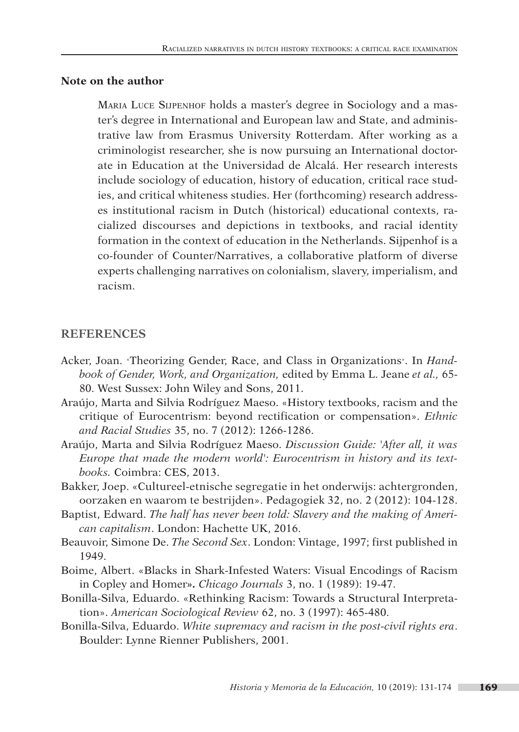#### **Note on the author**

Maria Luce Sijpenhof holds a master's degree in Sociology and a master's degree in International and European law and State, and administrative law from Erasmus University Rotterdam. After working as a criminologist researcher, she is now pursuing an International doctorate in Education at the Universidad de Alcalá. Her research interests include sociology of education, history of education, critical race studies, and critical whiteness studies. Her (forthcoming) research addresses institutional racism in Dutch (historical) educational contexts, racialized discourses and depictions in textbooks, and racial identity formation in the context of education in the Netherlands. Sijpenhof is a co-founder of Counter/Narratives, a collaborative platform of diverse experts challenging narratives on colonialism, slavery, imperialism, and racism.

#### **REFERENCES**

- Acker, Joan. «Theorizing Gender, Race, and Class in Organizations». In *Handbook of Gender, Work, and Organization,* edited by Emma L. Jeane *et al.,* 65- 80. West Sussex: John Wiley and Sons, 2011.
- Araújo, Marta and Silvia Rodríguez Maeso. «History textbooks, racism and the critique of Eurocentrism: beyond rectification or compensation». *Ethnic and Racial Studies* 35, no. 7 (2012): 1266-1286.
- Araújo, Marta and Silvia Rodríguez Maeso. *Discussion Guide: 'After all, it was Europe that made the modern world': Eurocentrism in history and its textbooks.* Coimbra: CES, 2013.
- Bakker, Joep. «Cultureel-etnische segregatie in het onderwijs: achtergronden, oorzaken en waarom te bestrijden». Pedagogiek 32, no. 2 (2012): 104-128.
- Baptist, Edward. *The half has never been told: Slavery and the making of American capitalism*. London: Hachette UK, 2016.
- Beauvoir, Simone De. *The Second Sex*. London: Vintage, 1997; first published in 1949.
- Boime, Albert. «Blacks in Shark-Infested Waters: Visual Encodings of Racism in Copley and Homer*». Chicago Journals* 3, no. 1 (1989): 19-47.
- Bonilla-Silva, Eduardo. «Rethinking Racism: Towards a Structural Interpretation». *American Sociological Review* 62, no. 3 (1997): 465-480.
- Bonilla-Silva, Eduardo. *White supremacy and racism in the post-civil rights era*. Boulder: Lynne Rienner Publishers, 2001.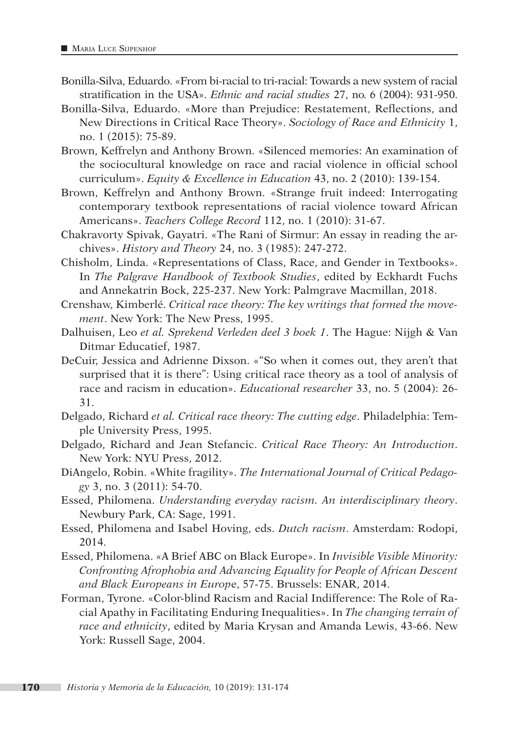- Bonilla-Silva, Eduardo. «From bi-racial to tri-racial: Towards a new system of racial stratification in the USA». *Ethnic and racial studies* 27, no*.* 6 (2004): 931-950.
- Bonilla-Silva, Eduardo. «More than Prejudice: Restatement, Reflections, and New Directions in Critical Race Theory». *Sociology of Race and Ethnicity* 1, no. 1 (2015): 75-89.
- Brown, Keffrelyn and Anthony Brown. «Silenced memories: An examination of the sociocultural knowledge on race and racial violence in official school curriculum». *Equity & Excellence in Education* 43, no. 2 (2010): 139-154.
- Brown, Keffrelyn and Anthony Brown. «Strange fruit indeed: Interrogating contemporary textbook representations of racial violence toward African Americans». *Teachers College Record* 112, no. 1 (2010): 31-67.
- Chakravorty Spivak, Gayatri. «The Rani of Sirmur: An essay in reading the archives». *History and Theory* 24, no. 3 (1985): 247-272.
- Chisholm, Linda. «Representations of Class, Race, and Gender in Textbooks». In *The Palgrave Handbook of Textbook Studies*, edited by Eckhardt Fuchs and Annekatrin Bock, 225-237. New York: Palmgrave Macmillan, 2018.
- Crenshaw, Kimberlé. *Critical race theory: The key writings that formed the movement*. New York: The New Press, 1995.
- Dalhuisen, Leo *et al. Sprekend Verleden deel 3 boek 1*. The Hague: Nijgh & Van Ditmar Educatief, 1987.
- DeCuir, Jessica and Adrienne Dixson. «"So when it comes out, they aren't that surprised that it is there": Using critical race theory as a tool of analysis of race and racism in education». *Educational researcher* 33, no. 5 (2004): 26- 31.
- Delgado, Richard *et al. Critical race theory: The cutting edge*. Philadelphia: Temple University Press, 1995.
- Delgado, Richard and Jean Stefancic. *Critical Race Theory: An Introduction*. New York: NYU Press, 2012.
- DiAngelo, Robin. «White fragility». *The International Journal of Critical Pedagogy* 3, no. 3 (2011): 54-70.
- Essed, Philomena. *Understanding everyday racism. An interdisciplinary theory*. Newbury Park, CA: Sage, 1991.
- Essed, Philomena and Isabel Hoving, eds. *Dutch racism*. Amsterdam: Rodopi, 2014.
- Essed, Philomena. «A Brief ABC on Black Europe». In *Invisible Visible Minority: Confronting Afrophobia and Advancing Equality for People of African Descent and Black Europeans in Europ*e, 57-75. Brussels: ENAR, 2014.
- Forman, Tyrone. «Color-blind Racism and Racial Indifference: The Role of Racial Apathy in Facilitating Enduring Inequalities». In *The changing terrain of race and ethnicity*, edited by Maria Krysan and Amanda Lewis, 43-66. New York: Russell Sage, 2004.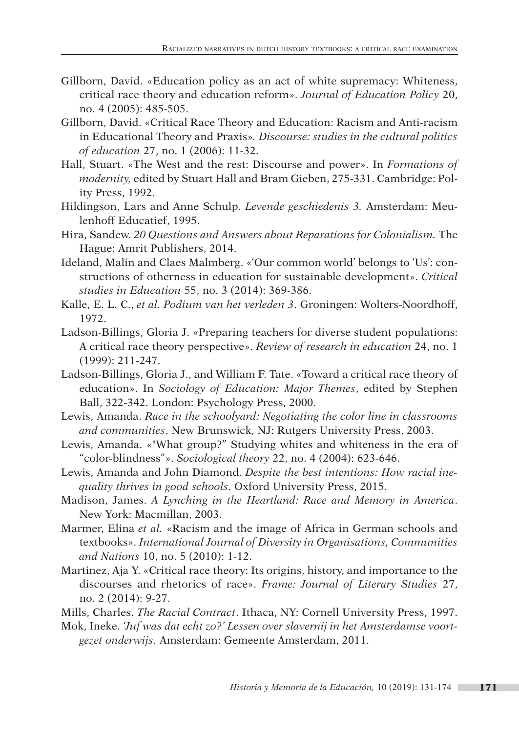- Gillborn, David. «Education policy as an act of white supremacy: Whiteness, critical race theory and education reform». *Journal of Education Policy* 20, no. 4 (2005): 485-505.
- Gillborn, David. «Critical Race Theory and Education: Racism and Anti-racism in Educational Theory and Praxis»*. Discourse: studies in the cultural politics of education* 27, no. 1 (2006): 11-32.
- Hall, Stuart. «The West and the rest: Discourse and power». In *Formations of modernity,* edited by Stuart Hall and Bram Gieben, 275-331. Cambridge: Polity Press, 1992.
- Hildingson, Lars and Anne Schulp. *Levende geschiedenis 3.* Amsterdam: Meulenhoff Educatief, 1995.
- Hira, Sandew. *20 Questions and Answers about Reparations for Colonialism.* The Hague: Amrit Publishers, 2014.
- Ideland, Malin and Claes Malmberg. «'Our common world' belongs to 'Us': constructions of otherness in education for sustainable development». *Critical studies in Education* 55, no. 3 (2014): 369-386.
- Kalle, E. L. C., *et al. Podium van het verleden 3*. Groningen: Wolters-Noordhoff, 1972.
- Ladson-Billings, Gloria J. «Preparing teachers for diverse student populations: A critical race theory perspective». *Review of research in education* 24, no. 1 (1999): 211-247.
- Ladson-Billings, Gloria J., and William F. Tate. «Toward a critical race theory of education». In *Sociology of Education: Major Themes*, edited by Stephen Ball, 322-342. London: Psychology Press, 2000.
- Lewis, Amanda. *Race in the schoolyard: Negotiating the color line in classrooms and communities*. New Brunswick, NJ: Rutgers University Press, 2003.
- Lewis, Amanda. «"What group?" Studying whites and whiteness in the era of "color-blindness"». *Sociological theory* 22, no. 4 (2004): 623-646.
- Lewis, Amanda and John Diamond. *Despite the best intentions: How racial inequality thrives in good schools*. Oxford University Press, 2015.
- Madison, James. *A Lynching in the Heartland: Race and Memory in America*. New York: Macmillan, 2003.
- Marmer, Elina *et al.* «Racism and the image of Africa in German schools and textbooks». *International Journal of Diversity in Organisations, Communities and Nations* 10, no. 5 (2010): 1-12.
- Martinez, Aja Y. «Critical race theory: Its origins, history, and importance to the discourses and rhetorics of race». *Frame: Journal of Literary Studies* 27, no. 2 (2014): 9-27.
- Mills, Charles. *The Racial Contract*. Ithaca, NY: Cornell University Press, 1997.
- Mok, Ineke. *'Juf was dat echt zo?' Lessen over slavernij in het Amsterdamse voortgezet onderwijs.* Amsterdam: Gemeente Amsterdam, 2011.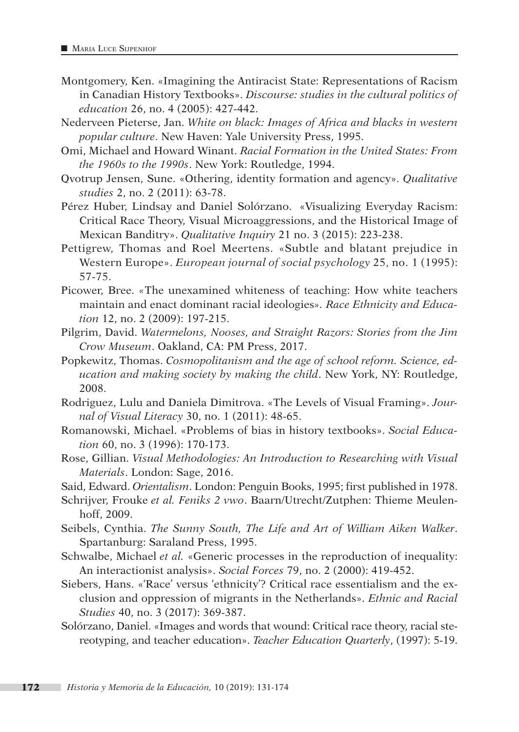- Montgomery, Ken. «Imagining the Antiracist State: Representations of Racism in Canadian History Textbooks». *Discourse: studies in the cultural politics of education* 26, no. 4 (2005): 427-442.
- Nederveen Pieterse, Jan. *White on black: Images of Africa and blacks in western popular culture*. New Haven: Yale University Press, 1995.
- Omi, Michael and Howard Winant. *Racial Formation in the United States: From the 1960s to the 1990s*. New York: Routledge, 1994.
- Qvotrup Jensen, Sune. «Othering, identity formation and agency». *Qualitative studies* 2, no. 2 (2011): 63-78.
- Pérez Huber, Lindsay and Daniel Solórzano. «Visualizing Everyday Racism: Critical Race Theory, Visual Microaggressions, and the Historical Image of Mexican Banditry». *Qualitative Inquiry* 21 no. 3 (2015): 223-238.
- Pettigrew, Thomas and Roel Meertens. «Subtle and blatant prejudice in Western Europe». *European journal of social psychology* 25, no. 1 (1995): 57-75.
- Picower, Bree. *«*The unexamined whiteness of teaching: How white teachers maintain and enact dominant racial ideologies*». Race Ethnicity and Education* 12, no. 2 (2009): 197-215.
- Pilgrim, David. *Watermelons, Nooses, and Straight Razors: Stories from the Jim Crow Museum*. Oakland, CA: PM Press, 2017.
- Popkewitz, Thomas. *Cosmopolitanism and the age of school reform. Science, education and making society by making the child*. New York, NY: Routledge, 2008.
- Rodriguez, Lulu and Daniela Dimitrova. «The Levels of Visual Framing». *Journal of Visual Literacy* 30, no. 1 (2011): 48-65.
- Romanowski, Michael. «Problems of bias in history textbooks». *Social Education* 60, no. 3 (1996): 170-173.
- Rose, Gillian. *Visual Methodologies: An Introduction to Researching with Visual Materials*. London: Sage, 2016.
- Said, Edward. *Orientalism*. London: Penguin Books, 1995; first published in 1978.
- Schrijver, Frouke *et al. Feniks 2 vwo*. Baarn/Utrecht/Zutphen: Thieme Meulenhoff, 2009.
- Seibels, Cynthia. *The Sunny South, The Life and Art of William Aiken Walker*. Spartanburg: Saraland Press, 1995.
- Schwalbe, Michael *et al.* «Generic processes in the reproduction of inequality: An interactionist analysis». *Social Forces* 79, no. 2 (2000): 419-452.
- Siebers, Hans. «'Race' versus 'ethnicity'? Critical race essentialism and the exclusion and oppression of migrants in the Netherlands». *Ethnic and Racial Studies* 40, no. 3 (2017): 369-387.
- Solórzano, Daniel. «Images and words that wound: Critical race theory, racial stereotyping, and teacher education». *Teacher Education Quarterly*, (1997): 5-19.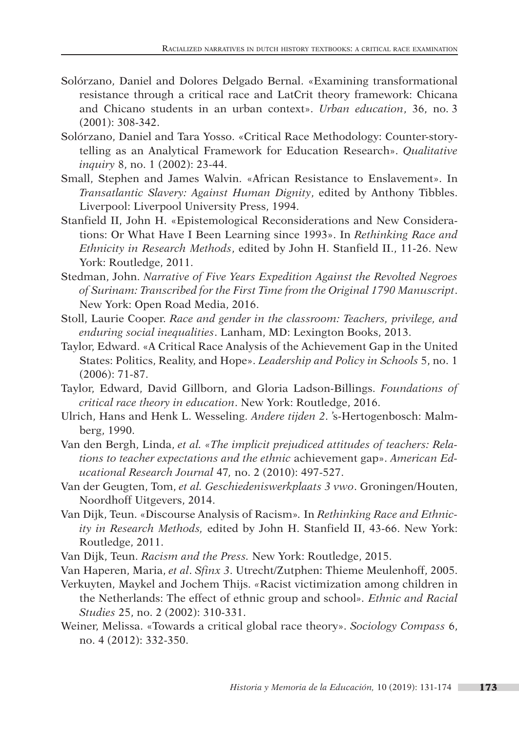- Solórzano, Daniel and Dolores Delgado Bernal. «Examining transformational resistance through a critical race and LatCrit theory framework: Chicana and Chicano students in an urban context». *Urban education*, 36, no. 3 (2001): 308-342.
- Solórzano, Daniel and Tara Yosso. «Critical Race Methodology: Counter-storytelling as an Analytical Framework for Education Research». *Qualitative inquiry* 8, no. 1 (2002): 23-44.
- Small, Stephen and James Walvin. «African Resistance to Enslavement». In *Transatlantic Slavery: Against Human Dignity*, edited by Anthony Tibbles. Liverpool: Liverpool University Press, 1994.
- Stanfield II, John H. «Epistemological Reconsiderations and New Considerations: Or What Have I Been Learning since 1993». In *Rethinking Race and Ethnicity in Research Methods*, edited by John H. Stanfield II., 11-26. New York: Routledge, 2011.
- Stedman, John. *Narrative of Five Years Expedition Against the Revolted Negroes of Surinam: Transcribed for the First Time from the Original 1790 Manuscript*. New York: Open Road Media, 2016.
- Stoll, Laurie Cooper. *Race and gender in the classroom: Teachers, privilege, and enduring social inequalities*. Lanham, MD: Lexington Books, 2013.
- Taylor, Edward. «A Critical Race Analysis of the Achievement Gap in the United States: Politics, Reality, and Hope». *Leadership and Policy in Schools* 5, no. 1 (2006): 71-87.
- Taylor, Edward, David Gillborn, and Gloria Ladson-Billings. *Foundations of critical race theory in education*. New York: Routledge, 2016.
- Ulrich, Hans and Henk L. Wesseling. *Andere tijden 2*. 's-Hertogenbosch: Malmberg, 1990.
- Van den Bergh, Linda, *et al. «The implicit prejudiced attitudes of teachers: Relations to teacher expectations and the ethnic* achievement gap». *American Educational Research Journal* 47*,* no. 2 (2010): 497-527.
- Van der Geugten, Tom, *et al. Geschiedeniswerkplaats 3 vwo*. Groningen/Houten, Noordhoff Uitgevers, 2014.
- Van Dijk, Teun. «Discourse Analysis of Racism»*.* In *Rethinking Race and Ethnicity in Research Methods,* edited by John H. Stanfield II, 43-66. New York: Routledge, 2011.
- Van Dijk, Teun. *Racism and the Press.* New York: Routledge, 2015.
- Van Haperen, Maria, *et al*. *Sfinx 3*. Utrecht/Zutphen: Thieme Meulenhoff, 2005.
- Verkuyten, Maykel and Jochem Thijs. *«*Racist victimization among children in the Netherlands: The effect of ethnic group and school*». Ethnic and Racial Studies* 25, no. 2 (2002): 310-331.
- Weiner, Melissa. «Towards a critical global race theory». *Sociology Compass* 6, no. 4 (2012): 332-350.